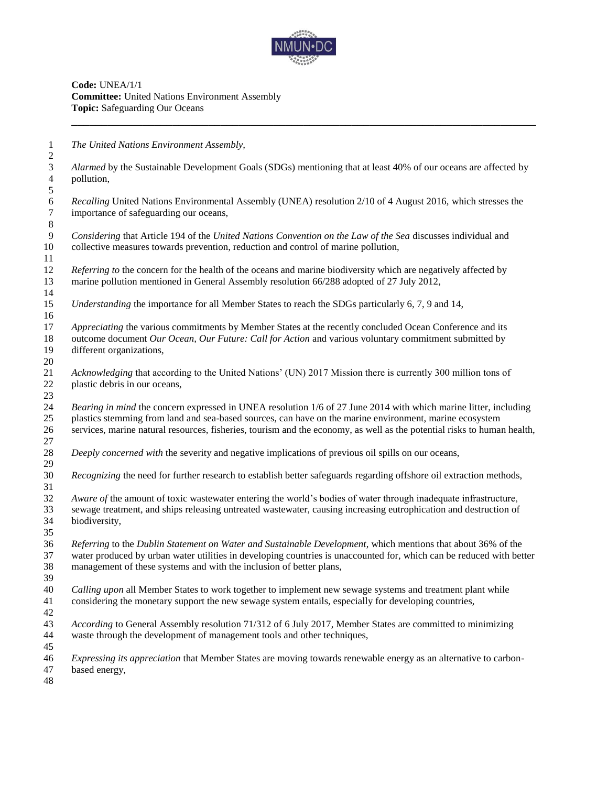

**Code:** UNEA/1/1 **Committee:** United Nations Environment Assembly **Topic:** Safeguarding Our Oceans

*The United Nations Environment Assembly,* 

 *Alarmed* by the Sustainable Development Goals (SDGs) mentioning that at least 40% of our oceans are affected by pollution,

 *Recalling* United Nations Environmental Assembly (UNEA) resolution 2/10 of 4 August 2016, which stresses the importance of safeguarding our oceans,

 *Considering* that Article 194 of the *United Nations Convention on the Law of the Sea* discusses individual and collective measures towards prevention, reduction and control of marine pollution,

 *Referring to* the concern for the health of the oceans and marine biodiversity which are negatively affected by marine pollution mentioned in General Assembly resolution 66/288 adopted of 27 July 2012, 

*Understanding* the importance for all Member States to reach the SDGs particularly 6, 7, 9 and 14,

 *Appreciating* the various commitments by Member States at the recently concluded Ocean Conference and its outcome document *Our Ocean, Our Future: Call for Action* and various voluntary commitment submitted by different organizations,

 *Acknowledging* that according to the United Nations' (UN) 2017 Mission there is currently 300 million tons of plastic debris in our oceans,

 *Bearing in mind* the concern expressed in UNEA resolution 1/6 of 27 June 2014 with which marine litter, including plastics stemming from land and sea-based sources, can have on the marine environment, marine ecosystem services, marine natural resources, fisheries, tourism and the economy, as well as the potential risks to human health,

*Deeply concerned with* the severity and negative implications of previous oil spills on our oceans,

*Recognizing* the need for further research to establish better safeguards regarding offshore oil extraction methods,

 *Aware of* the amount of toxic wastewater entering the world's bodies of water through inadequate infrastructure, sewage treatment, and ships releasing untreated wastewater, causing increasing eutrophication and destruction of biodiversity,

 *Referring* to the *Dublin Statement on Water and Sustainable Development*, which mentions that about 36% of the water produced by urban water utilities in developing countries is unaccounted for, which can be reduced with better management of these systems and with the inclusion of better plans, 

 *Calling upon* all Member States to work together to implement new sewage systems and treatment plant while considering the monetary support the new sewage system entails, especially for developing countries,

 *According* to General Assembly resolution 71/312 of 6 July 2017, Member States are committed to minimizing waste through the development of management tools and other techniques,

 *Expressing its appreciation* that Member States are moving towards renewable energy as an alternative to carbon-based energy,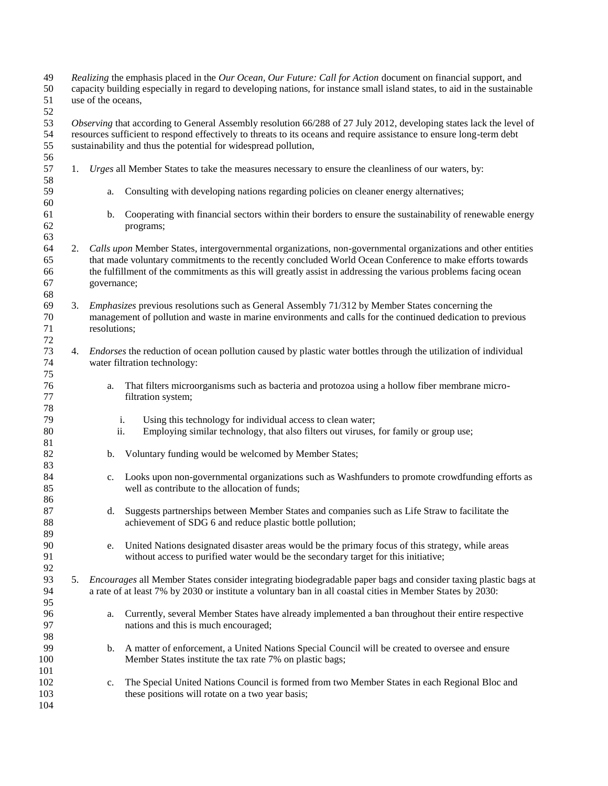| 49     | Realizing the emphasis placed in the Our Ocean, Our Future: Call for Action document on financial support, and |                                                                                                                           |                                                                                                                        |  |  |  |
|--------|----------------------------------------------------------------------------------------------------------------|---------------------------------------------------------------------------------------------------------------------------|------------------------------------------------------------------------------------------------------------------------|--|--|--|
| 50     |                                                                                                                | capacity building especially in regard to developing nations, for instance small island states, to aid in the sustainable |                                                                                                                        |  |  |  |
| 51     |                                                                                                                | use of the oceans,                                                                                                        |                                                                                                                        |  |  |  |
| 52     |                                                                                                                |                                                                                                                           |                                                                                                                        |  |  |  |
| 53     |                                                                                                                |                                                                                                                           | Observing that according to General Assembly resolution 66/288 of 27 July 2012, developing states lack the level of    |  |  |  |
| 54     |                                                                                                                |                                                                                                                           | resources sufficient to respond effectively to threats to its oceans and require assistance to ensure long-term debt   |  |  |  |
| 55     |                                                                                                                |                                                                                                                           | sustainability and thus the potential for widespread pollution,                                                        |  |  |  |
| 56     |                                                                                                                |                                                                                                                           |                                                                                                                        |  |  |  |
| 57     | 1.                                                                                                             |                                                                                                                           | Urges all Member States to take the measures necessary to ensure the cleanliness of our waters, by:                    |  |  |  |
| 58     |                                                                                                                |                                                                                                                           |                                                                                                                        |  |  |  |
| 59     |                                                                                                                | a.                                                                                                                        | Consulting with developing nations regarding policies on cleaner energy alternatives;                                  |  |  |  |
| 60     |                                                                                                                |                                                                                                                           |                                                                                                                        |  |  |  |
| 61     |                                                                                                                | b.                                                                                                                        | Cooperating with financial sectors within their borders to ensure the sustainability of renewable energy               |  |  |  |
| 62     |                                                                                                                |                                                                                                                           | programs;                                                                                                              |  |  |  |
| 63     |                                                                                                                |                                                                                                                           |                                                                                                                        |  |  |  |
| 64     |                                                                                                                |                                                                                                                           |                                                                                                                        |  |  |  |
|        | 2.                                                                                                             |                                                                                                                           | Calls upon Member States, intergovernmental organizations, non-governmental organizations and other entities           |  |  |  |
| 65     |                                                                                                                |                                                                                                                           | that made voluntary commitments to the recently concluded World Ocean Conference to make efforts towards               |  |  |  |
| 66     |                                                                                                                |                                                                                                                           | the fulfillment of the commitments as this will greatly assist in addressing the various problems facing ocean         |  |  |  |
| 67     |                                                                                                                | governance;                                                                                                               |                                                                                                                        |  |  |  |
| 68     |                                                                                                                |                                                                                                                           |                                                                                                                        |  |  |  |
| 69     | 3.                                                                                                             |                                                                                                                           | <i>Emphasizes</i> previous resolutions such as General Assembly 71/312 by Member States concerning the                 |  |  |  |
| $70\,$ |                                                                                                                |                                                                                                                           | management of pollution and waste in marine environments and calls for the continued dedication to previous            |  |  |  |
| 71     |                                                                                                                | resolutions;                                                                                                              |                                                                                                                        |  |  |  |
| $72\,$ |                                                                                                                |                                                                                                                           |                                                                                                                        |  |  |  |
| 73     | 4.                                                                                                             |                                                                                                                           | <i>Endorses</i> the reduction of ocean pollution caused by plastic water bottles through the utilization of individual |  |  |  |
| 74     |                                                                                                                |                                                                                                                           | water filtration technology:                                                                                           |  |  |  |
| 75     |                                                                                                                |                                                                                                                           |                                                                                                                        |  |  |  |
| 76     |                                                                                                                | a.                                                                                                                        | That filters microorganisms such as bacteria and protozoa using a hollow fiber membrane micro-                         |  |  |  |
| 77     |                                                                                                                |                                                                                                                           | filtration system;                                                                                                     |  |  |  |
| 78     |                                                                                                                |                                                                                                                           |                                                                                                                        |  |  |  |
| 79     |                                                                                                                |                                                                                                                           | Using this technology for individual access to clean water;<br>i.                                                      |  |  |  |
| 80     |                                                                                                                | ii.                                                                                                                       | Employing similar technology, that also filters out viruses, for family or group use;                                  |  |  |  |
| 81     |                                                                                                                |                                                                                                                           |                                                                                                                        |  |  |  |
| 82     |                                                                                                                | b.                                                                                                                        | Voluntary funding would be welcomed by Member States;                                                                  |  |  |  |
| 83     |                                                                                                                |                                                                                                                           |                                                                                                                        |  |  |  |
| 84     |                                                                                                                | c.                                                                                                                        | Looks upon non-governmental organizations such as Washfunders to promote crowdfunding efforts as                       |  |  |  |
| 85     |                                                                                                                |                                                                                                                           | well as contribute to the allocation of funds;                                                                         |  |  |  |
| 86     |                                                                                                                |                                                                                                                           |                                                                                                                        |  |  |  |
| 87     |                                                                                                                | d.                                                                                                                        | Suggests partnerships between Member States and companies such as Life Straw to facilitate the                         |  |  |  |
| 88     |                                                                                                                |                                                                                                                           | achievement of SDG 6 and reduce plastic bottle pollution;                                                              |  |  |  |
| 89     |                                                                                                                |                                                                                                                           |                                                                                                                        |  |  |  |
| 90     |                                                                                                                | e.                                                                                                                        | United Nations designated disaster areas would be the primary focus of this strategy, while areas                      |  |  |  |
| 91     |                                                                                                                |                                                                                                                           | without access to purified water would be the secondary target for this initiative;                                    |  |  |  |
| 92     |                                                                                                                |                                                                                                                           |                                                                                                                        |  |  |  |
| 93     | 5.                                                                                                             |                                                                                                                           | Encourages all Member States consider integrating biodegradable paper bags and consider taxing plastic bags at         |  |  |  |
| 94     |                                                                                                                |                                                                                                                           | a rate of at least 7% by 2030 or institute a voluntary ban in all coastal cities in Member States by 2030:             |  |  |  |
| 95     |                                                                                                                |                                                                                                                           |                                                                                                                        |  |  |  |
| 96     |                                                                                                                | a.                                                                                                                        | Currently, several Member States have already implemented a ban throughout their entire respective                     |  |  |  |
| 97     |                                                                                                                |                                                                                                                           | nations and this is much encouraged;                                                                                   |  |  |  |
| 98     |                                                                                                                |                                                                                                                           |                                                                                                                        |  |  |  |
| 99     |                                                                                                                | b.                                                                                                                        | A matter of enforcement, a United Nations Special Council will be created to oversee and ensure                        |  |  |  |
| 100    |                                                                                                                |                                                                                                                           | Member States institute the tax rate 7% on plastic bags;                                                               |  |  |  |
| 101    |                                                                                                                |                                                                                                                           |                                                                                                                        |  |  |  |
| 102    |                                                                                                                |                                                                                                                           | The Special United Nations Council is formed from two Member States in each Regional Bloc and                          |  |  |  |
| 103    |                                                                                                                | c.                                                                                                                        | these positions will rotate on a two year basis;                                                                       |  |  |  |
| 104    |                                                                                                                |                                                                                                                           |                                                                                                                        |  |  |  |
|        |                                                                                                                |                                                                                                                           |                                                                                                                        |  |  |  |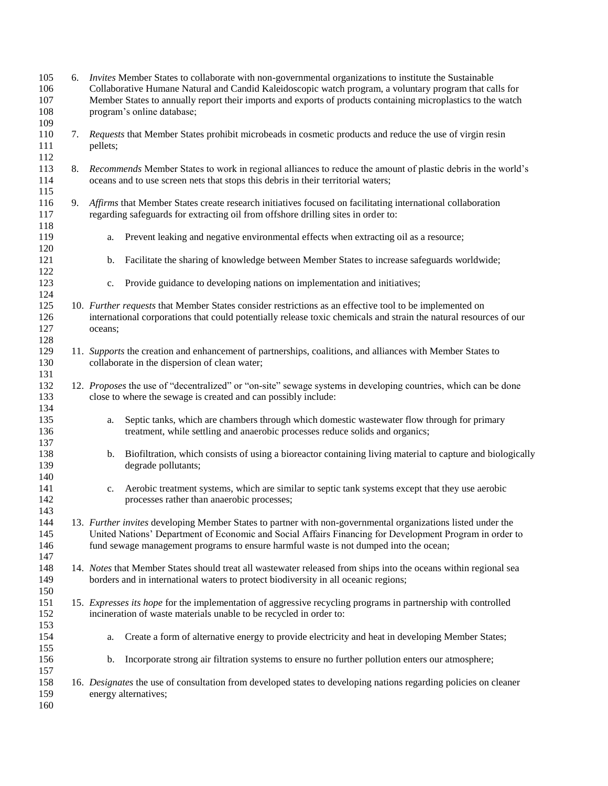| 105<br>106<br>107<br>108<br>109 |    | 6. <i>Invites</i> Member States to collaborate with non-governmental organizations to institute the Sustainable<br>Collaborative Humane Natural and Candid Kaleidoscopic watch program, a voluntary program that calls for<br>Member States to annually report their imports and exports of products containing microplastics to the watch<br>program's online database; |  |  |  |
|---------------------------------|----|--------------------------------------------------------------------------------------------------------------------------------------------------------------------------------------------------------------------------------------------------------------------------------------------------------------------------------------------------------------------------|--|--|--|
| 110<br>111<br>112               | 7. | Requests that Member States prohibit microbeads in cosmetic products and reduce the use of virgin resin<br>pellets;                                                                                                                                                                                                                                                      |  |  |  |
| 113<br>114<br>115               | 8. | Recommends Member States to work in regional alliances to reduce the amount of plastic debris in the world's<br>oceans and to use screen nets that stops this debris in their territorial waters;                                                                                                                                                                        |  |  |  |
| 116<br>117<br>118               | 9. | Affirms that Member States create research initiatives focused on facilitating international collaboration<br>regarding safeguards for extracting oil from offshore drilling sites in order to:                                                                                                                                                                          |  |  |  |
| 119<br>120                      |    | Prevent leaking and negative environmental effects when extracting oil as a resource;<br>a.                                                                                                                                                                                                                                                                              |  |  |  |
| 121<br>122                      |    | Facilitate the sharing of knowledge between Member States to increase safeguards worldwide;<br>b.                                                                                                                                                                                                                                                                        |  |  |  |
| 123<br>124                      |    | Provide guidance to developing nations on implementation and initiatives;<br>c.                                                                                                                                                                                                                                                                                          |  |  |  |
| 125<br>126<br>127<br>128        |    | 10. Further requests that Member States consider restrictions as an effective tool to be implemented on<br>international corporations that could potentially release toxic chemicals and strain the natural resources of our<br>oceans;                                                                                                                                  |  |  |  |
| 129<br>130<br>131               |    | 11. Supports the creation and enhancement of partnerships, coalitions, and alliances with Member States to<br>collaborate in the dispersion of clean water;                                                                                                                                                                                                              |  |  |  |
| 132<br>133<br>134               |    | 12. Proposes the use of "decentralized" or "on-site" sewage systems in developing countries, which can be done<br>close to where the sewage is created and can possibly include:                                                                                                                                                                                         |  |  |  |
| 135<br>136<br>137               |    | Septic tanks, which are chambers through which domestic wastewater flow through for primary<br>a.<br>treatment, while settling and anaerobic processes reduce solids and organics;                                                                                                                                                                                       |  |  |  |
| 138<br>139<br>140               |    | b. Biofiltration, which consists of using a bioreactor containing living material to capture and biologically<br>degrade pollutants;                                                                                                                                                                                                                                     |  |  |  |
| 141<br>142<br>143               |    | Aerobic treatment systems, which are similar to septic tank systems except that they use aerobic<br>c.<br>processes rather than anaerobic processes;                                                                                                                                                                                                                     |  |  |  |
| 144<br>145<br>146<br>147        |    | 13. Further invites developing Member States to partner with non-governmental organizations listed under the<br>United Nations' Department of Economic and Social Affairs Financing for Development Program in order to<br>fund sewage management programs to ensure harmful waste is not dumped into the ocean;                                                         |  |  |  |
| 148<br>149<br>150               |    | 14. Notes that Member States should treat all wastewater released from ships into the oceans within regional sea<br>borders and in international waters to protect biodiversity in all oceanic regions;                                                                                                                                                                  |  |  |  |
| 151<br>152<br>153               |    | 15. Expresses its hope for the implementation of aggressive recycling programs in partnership with controlled<br>incineration of waste materials unable to be recycled in order to:                                                                                                                                                                                      |  |  |  |
| 154<br>155                      |    | Create a form of alternative energy to provide electricity and heat in developing Member States;<br>a.                                                                                                                                                                                                                                                                   |  |  |  |
| 156<br>157                      |    | Incorporate strong air filtration systems to ensure no further pollution enters our atmosphere;<br>b.                                                                                                                                                                                                                                                                    |  |  |  |
| 158<br>159<br>160               |    | 16. Designates the use of consultation from developed states to developing nations regarding policies on cleaner<br>energy alternatives;                                                                                                                                                                                                                                 |  |  |  |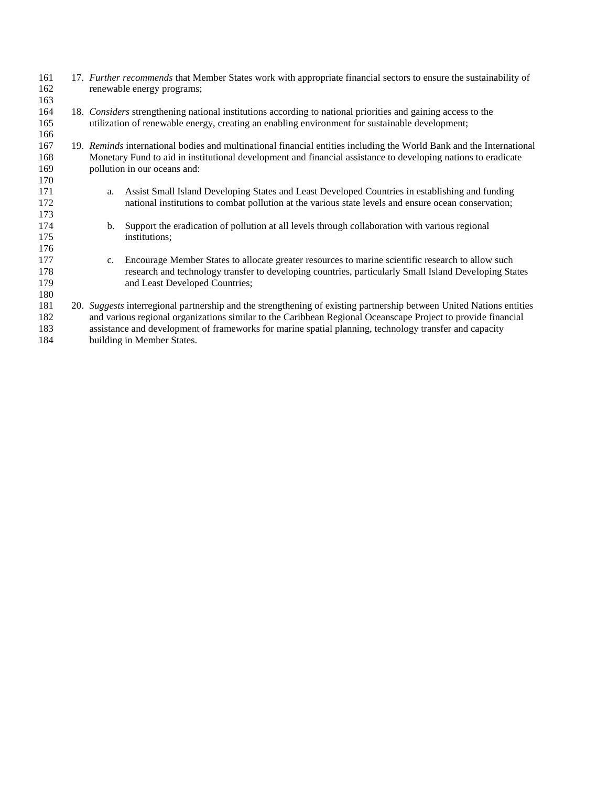- 17. *Further recommends* that Member States work with appropriate financial sectors to ensure the sustainability of renewable energy programs;
- 18. *Considers* strengthening national institutions according to national priorities and gaining access to the utilization of renewable energy, creating an enabling environment for sustainable development;

- 19. *Reminds* international bodies and multinational financial entities including the World Bank and the International Monetary Fund to aid in institutional development and financial assistance to developing nations to eradicate pollution in our oceans and:
- a. Assist Small Island Developing States and Least Developed Countries in establishing and funding national institutions to combat pollution at the various state levels and ensure ocean conservation;
- b. Support the eradication of pollution at all levels through collaboration with various regional institutions;
- c. Encourage Member States to allocate greater resources to marine scientific research to allow such research and technology transfer to developing countries, particularly Small Island Developing States 179 and Least Developed Countries;
- 20. *Suggests* interregional partnership and the strengthening of existing partnership between United Nations entities and various regional organizations similar to the Caribbean Regional Oceanscape Project to provide financial assistance and development of frameworks for marine spatial planning, technology transfer and capacity building in Member States.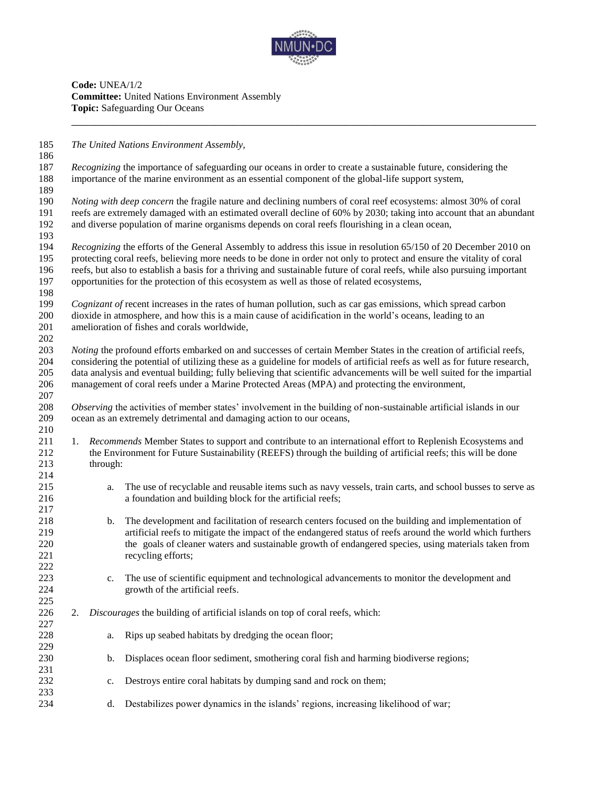

**Code:** UNEA/1/2 **Committee:** United Nations Environment Assembly **Topic:** Safeguarding Our Oceans

*The United Nations Environment Assembly,*

 *Recognizing* the importance of safeguarding our oceans in order to create a sustainable future, considering the importance of the marine environment as an essential component of the global-life support system, 

 *Noting with deep concern* the fragile nature and declining numbers of coral reef ecosystems: almost 30% of coral reefs are extremely damaged with an estimated overall decline of 60% by 2030; taking into account that an abundant and diverse population of marine organisms depends on coral reefs flourishing in a clean ocean,

 *Recognizing* the efforts of the General Assembly to address this issue in resolution 65/150 of 20 December 2010 on protecting coral reefs, believing more needs to be done in order not only to protect and ensure the vitality of coral reefs, but also to establish a basis for a thriving and sustainable future of coral reefs, while also pursuing important opportunities for the protection of this ecosystem as well as those of related ecosystems,

 *Cognizant of* recent increases in the rates of human pollution, such as car gas emissions, which spread carbon dioxide in atmosphere, and how this is a main cause of acidification in the world's oceans, leading to an amelioration of fishes and corals worldwide,

 *Noting* the profound efforts embarked on and successes of certain Member States in the creation of artificial reefs, considering the potential of utilizing these as a guideline for models of artificial reefs as well as for future research, data analysis and eventual building; fully believing that scientific advancements will be well suited for the impartial management of coral reefs under a Marine Protected Areas (MPA) and protecting the environment,

 *Observing* the activities of member states' involvement in the building of non-sustainable artificial islands in our ocean as an extremely detrimental and damaging action to our oceans,

- 1. *Recommends* Member States to support and contribute to an international effort to Replenish Ecosystems and the Environment for Future Sustainability (REEFS) through the building of artificial reefs; this will be done through:
- a. The use of recyclable and reusable items such as navy vessels, train carts, and school busses to serve as a foundation and building block for the artificial reefs;
- b. The development and facilitation of research centers focused on the building and implementation of artificial reefs to mitigate the impact of the endangered status of reefs around the world which furthers the goals of cleaner waters and sustainable growth of endangered species, using materials taken from recycling efforts;
- c. The use of scientific equipment and technological advancements to monitor the development and growth of the artificial reefs.
- 2. *Discourages* the building of artificial islands on top of coral reefs, which:
- a. Rips up seabed habitats by dredging the ocean floor; b. Displaces ocean floor sediment, smothering coral fish and harming biodiverse regions;
- c. Destroys entire coral habitats by dumping sand and rock on them;
- d. Destabilizes power dynamics in the islands' regions, increasing likelihood of war;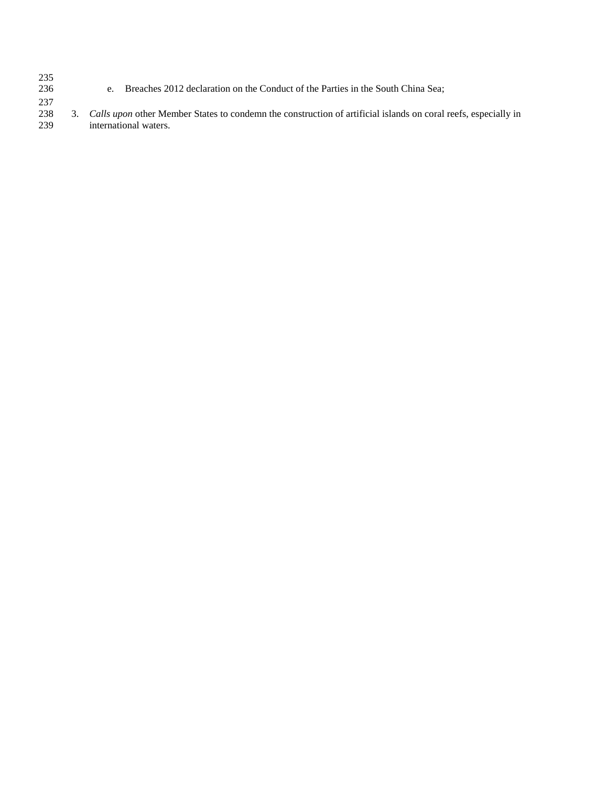235<br>236 e. Breaches 2012 declaration on the Conduct of the Parties in the South China Sea;

237 238 3. *Calls upon* other Member States to condemn the construction of artificial islands on coral reefs, especially in international waters.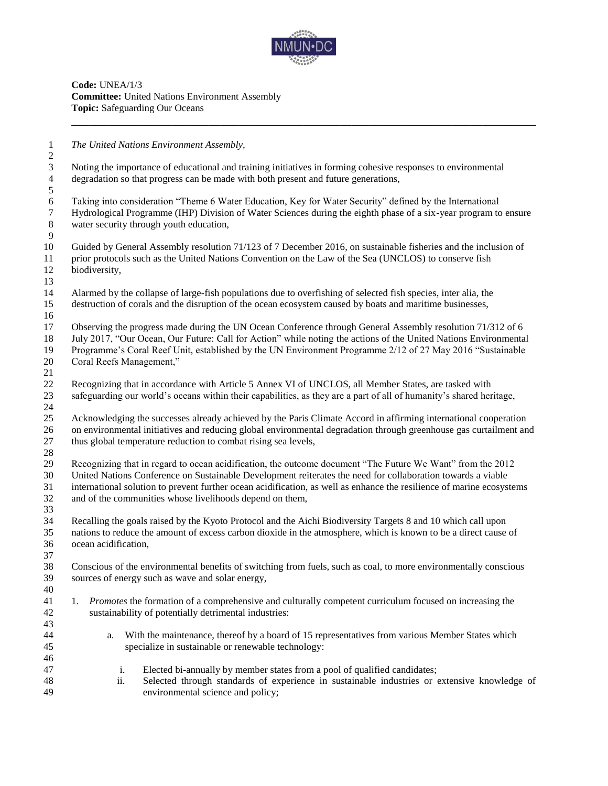

**Code:** UNEA/1/3 **Committee:** United Nations Environment Assembly **Topic:** Safeguarding Our Oceans

*The United Nations Environment Assembly,*

 Noting the importance of educational and training initiatives in forming cohesive responses to environmental degradation so that progress can be made with both present and future generations,

 Taking into consideration "Theme 6 Water Education, Key for Water Security" defined by the International Hydrological Programme (IHP) Division of Water Sciences during the eighth phase of a six-year program to ensure water security through youth education, 

 Guided by General Assembly resolution 71/123 of 7 December 2016, on sustainable fisheries and the inclusion of prior protocols such as the United Nations Convention on the Law of the Sea (UNCLOS) to conserve fish biodiversity,

 Alarmed by the collapse of large-fish populations due to overfishing of selected fish species, inter alia, the destruction of corals and the disruption of the ocean ecosystem caused by boats and maritime businesses,

 Observing the progress made during the UN Ocean Conference through General Assembly resolution 71/312 of 6 July 2017, "Our Ocean, Our Future: Call for Action" while noting the actions of the United Nations Environmental Programme's Coral Reef Unit, established by the UN Environment Programme 2/12 of 27 May 2016 "Sustainable Coral Reefs Management,"

 Recognizing that in accordance with Article 5 Annex VI of UNCLOS, all Member States, are tasked with safeguarding our world's oceans within their capabilities, as they are a part of all of humanity's shared heritage, 

 Acknowledging the successes already achieved by the Paris Climate Accord in affirming international cooperation on environmental initiatives and reducing global environmental degradation through greenhouse gas curtailment and thus global temperature reduction to combat rising sea levels,

 Recognizing that in regard to ocean acidification, the outcome document "The Future We Want" from the 2012 United Nations Conference on Sustainable Development reiterates the need for collaboration towards a viable international solution to prevent further ocean acidification, as well as enhance the resilience of marine ecosystems and of the communities whose livelihoods depend on them,

 Recalling the goals raised by the Kyoto Protocol and the Aichi Biodiversity Targets 8 and 10 which call upon nations to reduce the amount of excess carbon dioxide in the atmosphere, which is known to be a direct cause of ocean acidification,

 Conscious of the environmental benefits of switching from fuels, such as coal, to more environmentally conscious sources of energy such as wave and solar energy, 

- 1. *Promotes* the formation of a comprehensive and culturally competent curriculum focused on increasing the sustainability of potentially detrimental industries:
- a. With the maintenance, thereof by a board of 15 representatives from various Member States which specialize in sustainable or renewable technology:
- i. Elected bi-annually by member states from a pool of qualified candidates;
- ii. Selected through standards of experience in sustainable industries or extensive knowledge of environmental science and policy;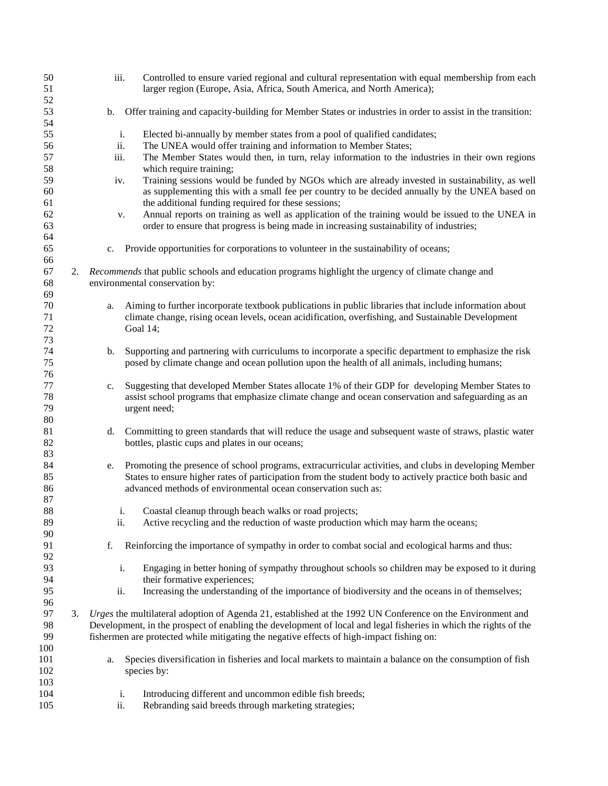| 50<br>51                 |    |    | iii. | Controlled to ensure varied regional and cultural representation with equal membership from each<br>larger region (Europe, Asia, Africa, South America, and North America);                                                                                                        |
|--------------------------|----|----|------|------------------------------------------------------------------------------------------------------------------------------------------------------------------------------------------------------------------------------------------------------------------------------------|
| 52<br>53<br>54           |    | b. |      | Offer training and capacity-building for Member States or industries in order to assist in the transition:                                                                                                                                                                         |
| 55                       |    |    | i.   | Elected bi-annually by member states from a pool of qualified candidates;                                                                                                                                                                                                          |
| 56                       |    |    | ii.  | The UNEA would offer training and information to Member States;                                                                                                                                                                                                                    |
| 57<br>58                 |    |    | iii. | The Member States would then, in turn, relay information to the industries in their own regions<br>which require training;                                                                                                                                                         |
| 59<br>60<br>61           |    |    | iv.  | Training sessions would be funded by NGOs which are already invested in sustainability, as well<br>as supplementing this with a small fee per country to be decided annually by the UNEA based on<br>the additional funding required for these sessions;                           |
| 62<br>63<br>64           |    |    | v.   | Annual reports on training as well as application of the training would be issued to the UNEA in<br>order to ensure that progress is being made in increasing sustainability of industries;                                                                                        |
| 65<br>66                 |    | c. |      | Provide opportunities for corporations to volunteer in the sustainability of oceans;                                                                                                                                                                                               |
| 67<br>68                 |    |    |      | 2. Recommends that public schools and education programs highlight the urgency of climate change and<br>environmental conservation by:                                                                                                                                             |
| 69<br>70<br>71<br>72     |    | a. |      | Aiming to further incorporate textbook publications in public libraries that include information about<br>climate change, rising ocean levels, ocean acidification, overfishing, and Sustainable Development<br>Goal 14;                                                           |
| 73<br>74<br>75           |    | b. |      | Supporting and partnering with curriculums to incorporate a specific department to emphasize the risk<br>posed by climate change and ocean pollution upon the health of all animals, including humans;                                                                             |
| 76                       |    |    |      |                                                                                                                                                                                                                                                                                    |
| 77<br>78<br>79<br>$80\,$ |    | c. |      | Suggesting that developed Member States allocate 1% of their GDP for developing Member States to<br>assist school programs that emphasize climate change and ocean conservation and safeguarding as an<br>urgent need;                                                             |
| 81<br>82<br>83           |    | d. |      | Committing to green standards that will reduce the usage and subsequent waste of straws, plastic water<br>bottles, plastic cups and plates in our oceans;                                                                                                                          |
| 84<br>85<br>86<br>87     |    | e. |      | Promoting the presence of school programs, extracurricular activities, and clubs in developing Member<br>States to ensure higher rates of participation from the student body to actively practice both basic and<br>advanced methods of environmental ocean conservation such as: |
| 88                       |    |    | i.   | Coastal cleanup through beach walks or road projects;                                                                                                                                                                                                                              |
| 89                       |    |    | ii.  | Active recycling and the reduction of waste production which may harm the oceans;                                                                                                                                                                                                  |
| 90                       |    |    |      |                                                                                                                                                                                                                                                                                    |
| 91<br>92                 |    | f. |      | Reinforcing the importance of sympathy in order to combat social and ecological harms and thus:                                                                                                                                                                                    |
| 93<br>94                 |    |    | i.   | Engaging in better honing of sympathy throughout schools so children may be exposed to it during<br>their formative experiences;                                                                                                                                                   |
| 95<br>96                 |    |    | ii.  | Increasing the understanding of the importance of biodiversity and the oceans in of themselves;                                                                                                                                                                                    |
| 97                       | 3. |    |      | Urges the multilateral adoption of Agenda 21, established at the 1992 UN Conference on the Environment and                                                                                                                                                                         |
| 98                       |    |    |      | Development, in the prospect of enabling the development of local and legal fisheries in which the rights of the                                                                                                                                                                   |
| 99                       |    |    |      | fishermen are protected while mitigating the negative effects of high-impact fishing on:                                                                                                                                                                                           |
| 100                      |    |    |      |                                                                                                                                                                                                                                                                                    |
| 101<br>102               |    | a. |      | Species diversification in fisheries and local markets to maintain a balance on the consumption of fish<br>species by:                                                                                                                                                             |
| 103                      |    |    |      |                                                                                                                                                                                                                                                                                    |
| 104                      |    |    | i.   | Introducing different and uncommon edible fish breeds;                                                                                                                                                                                                                             |
| 105                      |    |    | ii.  | Rebranding said breeds through marketing strategies;                                                                                                                                                                                                                               |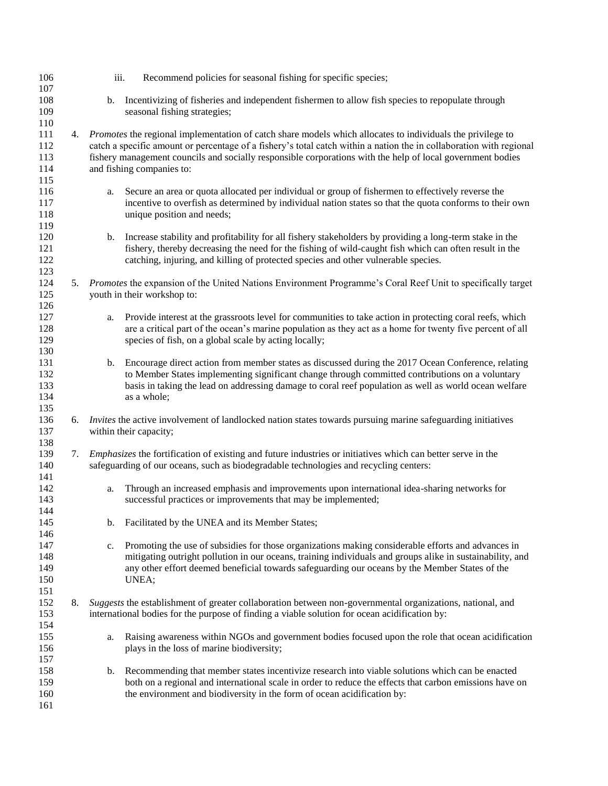| 106 |    | iii. | Recommend policies for seasonal fishing for specific species;                                                       |
|-----|----|------|---------------------------------------------------------------------------------------------------------------------|
| 107 |    |      |                                                                                                                     |
| 108 |    | b.   | Incentivizing of fisheries and independent fishermen to allow fish species to repopulate through                    |
| 109 |    |      | seasonal fishing strategies;                                                                                        |
| 110 |    |      |                                                                                                                     |
| 111 | 4. |      | <i>Promotes</i> the regional implementation of catch share models which allocates to individuals the privilege to   |
| 112 |    |      | catch a specific amount or percentage of a fishery's total catch within a nation the in collaboration with regional |
| 113 |    |      | fishery management councils and socially responsible corporations with the help of local government bodies          |
| 114 |    |      | and fishing companies to:                                                                                           |
| 115 |    |      |                                                                                                                     |
| 116 |    |      | Secure an area or quota allocated per individual or group of fishermen to effectively reverse the                   |
| 117 |    | a.   |                                                                                                                     |
|     |    |      | incentive to overfish as determined by individual nation states so that the quota conforms to their own             |
| 118 |    |      | unique position and needs;                                                                                          |
| 119 |    |      |                                                                                                                     |
| 120 |    | b.   | Increase stability and profitability for all fishery stakeholders by providing a long-term stake in the             |
| 121 |    |      | fishery, thereby decreasing the need for the fishing of wild-caught fish which can often result in the              |
| 122 |    |      | catching, injuring, and killing of protected species and other vulnerable species.                                  |
| 123 |    |      |                                                                                                                     |
| 124 | 5. |      | Promotes the expansion of the United Nations Environment Programme's Coral Reef Unit to specifically target         |
| 125 |    |      | youth in their workshop to:                                                                                         |
| 126 |    |      |                                                                                                                     |
| 127 |    | a.   | Provide interest at the grassroots level for communities to take action in protecting coral reefs, which            |
| 128 |    |      | are a critical part of the ocean's marine population as they act as a home for twenty five percent of all           |
| 129 |    |      | species of fish, on a global scale by acting locally;                                                               |
| 130 |    |      |                                                                                                                     |
| 131 |    | b.   | Encourage direct action from member states as discussed during the 2017 Ocean Conference, relating                  |
| 132 |    |      | to Member States implementing significant change through committed contributions on a voluntary                     |
| 133 |    |      | basis in taking the lead on addressing damage to coral reef population as well as world ocean welfare               |
| 134 |    |      | as a whole;                                                                                                         |
| 135 |    |      |                                                                                                                     |
| 136 | 6. |      | <i>Invites</i> the active involvement of landlocked nation states towards pursuing marine safeguarding initiatives  |
| 137 |    |      | within their capacity;                                                                                              |
| 138 |    |      |                                                                                                                     |
| 139 | 7. |      | <i>Emphasizes</i> the fortification of existing and future industries or initiatives which can better serve in the  |
| 140 |    |      | safeguarding of our oceans, such as biodegradable technologies and recycling centers:                               |
| 141 |    |      |                                                                                                                     |
| 142 |    |      | Through an increased emphasis and improvements upon international idea-sharing networks for                         |
| 143 |    | a.   | successful practices or improvements that may be implemented;                                                       |
|     |    |      |                                                                                                                     |
| 144 |    |      |                                                                                                                     |
| 145 |    | b.   | Facilitated by the UNEA and its Member States;                                                                      |
| 146 |    |      |                                                                                                                     |
| 147 |    | c.   | Promoting the use of subsidies for those organizations making considerable efforts and advances in                  |
| 148 |    |      | mitigating outright pollution in our oceans, training individuals and groups alike in sustainability, and           |
| 149 |    |      | any other effort deemed beneficial towards safeguarding our oceans by the Member States of the                      |
| 150 |    |      | UNEA;                                                                                                               |
| 151 |    |      |                                                                                                                     |
| 152 | 8. |      | Suggests the establishment of greater collaboration between non-governmental organizations, national, and           |
| 153 |    |      | international bodies for the purpose of finding a viable solution for ocean acidification by:                       |
| 154 |    |      |                                                                                                                     |
| 155 |    | a.   | Raising awareness within NGOs and government bodies focused upon the role that ocean acidification                  |
| 156 |    |      | plays in the loss of marine biodiversity;                                                                           |
| 157 |    |      |                                                                                                                     |
| 158 |    | b.   | Recommending that member states incentivize research into viable solutions which can be enacted                     |
| 159 |    |      | both on a regional and international scale in order to reduce the effects that carbon emissions have on             |
| 160 |    |      | the environment and biodiversity in the form of ocean acidification by:                                             |
| 161 |    |      |                                                                                                                     |
|     |    |      |                                                                                                                     |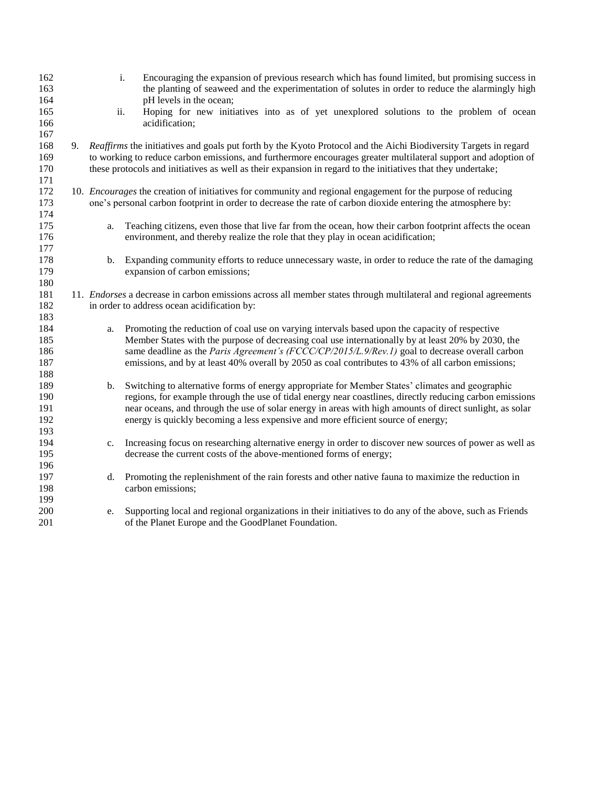| 162<br>163<br>164 |    |     | Encouraging the expansion of previous research which has found limited, but promising success in<br>$\mathbf{i}$ .<br>the planting of seaweed and the experimentation of solutes in order to reduce the alarmingly high<br>pH levels in the ocean; |
|-------------------|----|-----|----------------------------------------------------------------------------------------------------------------------------------------------------------------------------------------------------------------------------------------------------|
| 165               |    | ii. | Hoping for new initiatives into as of yet unexplored solutions to the problem of ocean<br>acidification;                                                                                                                                           |
| 166<br>167        |    |     |                                                                                                                                                                                                                                                    |
| 168               | 9. |     | Reaffirms the initiatives and goals put forth by the Kyoto Protocol and the Aichi Biodiversity Targets in regard                                                                                                                                   |
| 169               |    |     | to working to reduce carbon emissions, and furthermore encourages greater multilateral support and adoption of                                                                                                                                     |
| 170               |    |     | these protocols and initiatives as well as their expansion in regard to the initiatives that they undertake;                                                                                                                                       |
| 171               |    |     |                                                                                                                                                                                                                                                    |
| 172               |    |     | 10. <i>Encourages</i> the creation of initiatives for community and regional engagement for the purpose of reducing                                                                                                                                |
| 173               |    |     | one's personal carbon footprint in order to decrease the rate of carbon dioxide entering the atmosphere by:                                                                                                                                        |
| 174               |    |     |                                                                                                                                                                                                                                                    |
| 175               |    | a.  | Teaching citizens, even those that live far from the ocean, how their carbon footprint affects the ocean                                                                                                                                           |
| 176               |    |     | environment, and thereby realize the role that they play in ocean acidification;                                                                                                                                                                   |
| 177               |    |     |                                                                                                                                                                                                                                                    |
| 178               |    | b.  | Expanding community efforts to reduce unnecessary waste, in order to reduce the rate of the damaging                                                                                                                                               |
| 179               |    |     | expansion of carbon emissions;                                                                                                                                                                                                                     |
| 180               |    |     |                                                                                                                                                                                                                                                    |
| 181               |    |     | 11. <i>Endorses</i> a decrease in carbon emissions across all member states through multilateral and regional agreements                                                                                                                           |
| 182               |    |     | in order to address ocean acidification by:                                                                                                                                                                                                        |
| 183               |    |     |                                                                                                                                                                                                                                                    |
| 184               |    | a.  | Promoting the reduction of coal use on varying intervals based upon the capacity of respective                                                                                                                                                     |
| 185               |    |     | Member States with the purpose of decreasing coal use internationally by at least 20% by 2030, the                                                                                                                                                 |
| 186               |    |     | same deadline as the Paris Agreement's (FCCC/CP/2015/L,9/Rev.1) goal to decrease overall carbon                                                                                                                                                    |
| 187               |    |     | emissions, and by at least 40% overall by 2050 as coal contributes to 43% of all carbon emissions;                                                                                                                                                 |
| 188<br>189        |    |     | Switching to alternative forms of energy appropriate for Member States' climates and geographic                                                                                                                                                    |
| 190               |    | b.  | regions, for example through the use of tidal energy near coastlines, directly reducing carbon emissions                                                                                                                                           |
| 191               |    |     | near oceans, and through the use of solar energy in areas with high amounts of direct sunlight, as solar                                                                                                                                           |
| 192               |    |     | energy is quickly becoming a less expensive and more efficient source of energy;                                                                                                                                                                   |
| 193               |    |     |                                                                                                                                                                                                                                                    |
| 194               |    | c.  | Increasing focus on researching alternative energy in order to discover new sources of power as well as                                                                                                                                            |
| 195               |    |     | decrease the current costs of the above-mentioned forms of energy;                                                                                                                                                                                 |
| 196               |    |     |                                                                                                                                                                                                                                                    |
| 197               |    |     | d. Promoting the replenishment of the rain forests and other native fauna to maximize the reduction in                                                                                                                                             |
| 198               |    |     | carbon emissions;                                                                                                                                                                                                                                  |
| 199               |    |     |                                                                                                                                                                                                                                                    |
| 200               |    | e.  | Supporting local and regional organizations in their initiatives to do any of the above, such as Friends                                                                                                                                           |
| 201               |    |     | of the Planet Europe and the GoodPlanet Foundation.                                                                                                                                                                                                |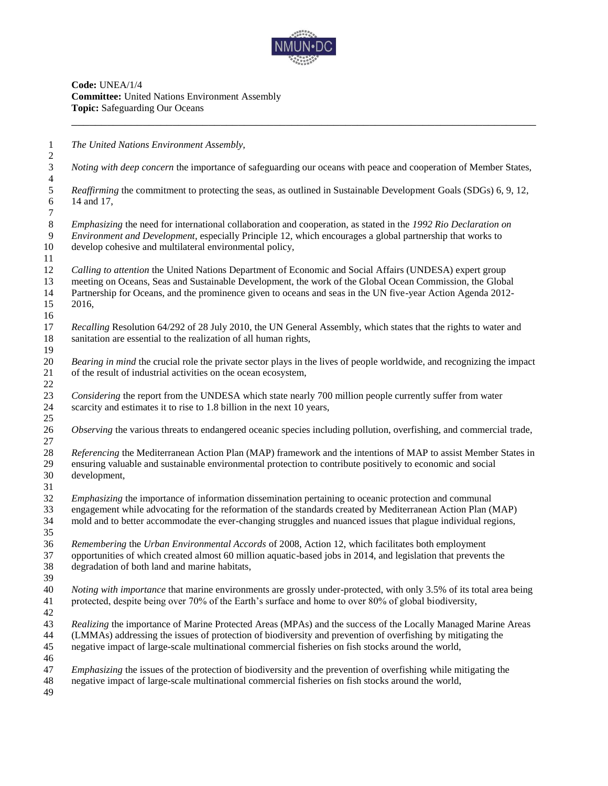

**Code:** UNEA/1/4 **Committee:** United Nations Environment Assembly **Topic:** Safeguarding Our Oceans

 *The United Nations Environment Assembly, Noting with deep concern* the importance of safeguarding our oceans with peace and cooperation of Member States,  $\frac{4}{5}$ *Reaffirming* the commitment to protecting the seas, as outlined in Sustainable Development Goals (SDGs) 6, 9, 12, 14 and 17, 14 and 17, *Emphasizing* the need for international collaboration and cooperation, as stated in the *1992 Rio Declaration on Environment and Development*, especially Principle 12, which encourages a global partnership that works to develop cohesive and multilateral environmental policy, *Calling to attention* the United Nations Department of Economic and Social Affairs (UNDESA) expert group meeting on Oceans, Seas and Sustainable Development, the work of the Global Ocean Commission, the Global Partnership for Oceans, and the prominence given to oceans and seas in the UN five-year Action Agenda 2012- 2016, *Recalling* Resolution 64/292 of 28 July 2010, the UN General Assembly, which states that the rights to water and sanitation are essential to the realization of all human rights, *Bearing in mind* the crucial role the private sector plays in the lives of people worldwide, and recognizing the impact of the result of industrial activities on the ocean ecosystem, *Considering* the report from the UNDESA which state nearly 700 million people currently suffer from water 24 scarcity and estimates it to rise to 1.8 billion in the next 10 years, *Observing* the various threats to endangered oceanic species including pollution, overfishing, and commercial trade, *Referencing* the Mediterranean Action Plan (MAP) framework and the intentions of MAP to assist Member States in ensuring valuable and sustainable environmental protection to contribute positively to economic and social development, *Emphasizing* the importance of information dissemination pertaining to oceanic protection and communal engagement while advocating for the reformation of the standards created by Mediterranean Action Plan (MAP) mold and to better accommodate the ever-changing struggles and nuanced issues that plague individual regions, *Remembering* the *Urban Environmental Accords* of 2008, Action 12, which facilitates both employment opportunities of which created almost 60 million aquatic-based jobs in 2014, and legislation that prevents the degradation of both land and marine habitats, *Noting with importance* that marine environments are grossly under-protected, with only 3.5% of its total area being protected, despite being over 70% of the Earth's surface and home to over 80% of global biodiversity, *Realizing* the importance of Marine Protected Areas (MPAs) and the success of the Locally Managed Marine Areas (LMMAs) addressing the issues of protection of biodiversity and prevention of overfishing by mitigating the negative impact of large-scale multinational commercial fisheries on fish stocks around the world, *Emphasizing* the issues of the protection of biodiversity and the prevention of overfishing while mitigating the negative impact of large-scale multinational commercial fisheries on fish stocks around the world,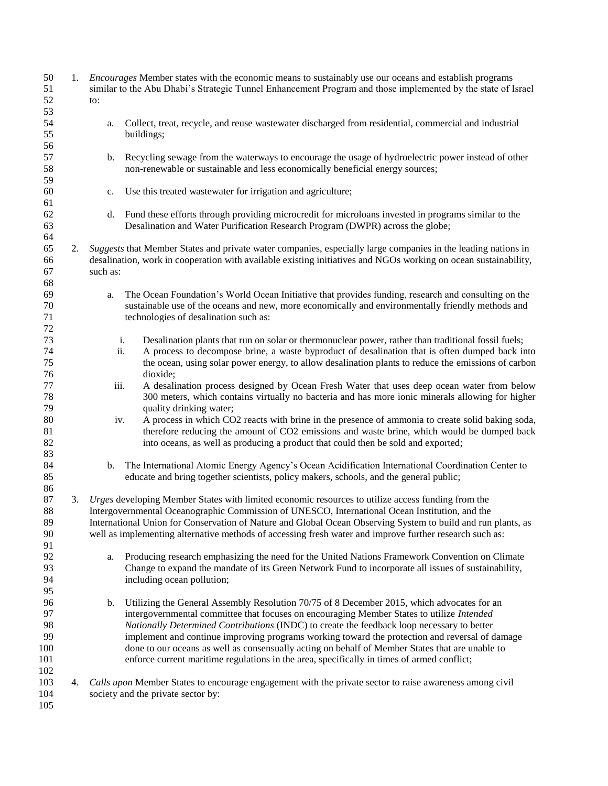| 50<br>51<br>52                            | 1. | <i>Encourages</i> Member states with the economic means to sustainably use our oceans and establish programs<br>similar to the Abu Dhabi's Strategic Tunnel Enhancement Program and those implemented by the state of Israel<br>to:                                                                                                                                                                                                                                                                                                                                                            |
|-------------------------------------------|----|------------------------------------------------------------------------------------------------------------------------------------------------------------------------------------------------------------------------------------------------------------------------------------------------------------------------------------------------------------------------------------------------------------------------------------------------------------------------------------------------------------------------------------------------------------------------------------------------|
| 53<br>54<br>55<br>56                      |    | Collect, treat, recycle, and reuse wastewater discharged from residential, commercial and industrial<br>a.<br>buildings;                                                                                                                                                                                                                                                                                                                                                                                                                                                                       |
| 57<br>58<br>59                            |    | Recycling sewage from the waterways to encourage the usage of hydroelectric power instead of other<br>$\mathbf{b}$ .<br>non-renewable or sustainable and less economically beneficial energy sources;                                                                                                                                                                                                                                                                                                                                                                                          |
| 60<br>61                                  |    | Use this treated wastewater for irrigation and agriculture;<br>c.                                                                                                                                                                                                                                                                                                                                                                                                                                                                                                                              |
| 62<br>63<br>64                            |    | Fund these efforts through providing microcredit for microloans invested in programs similar to the<br>d.<br>Desalination and Water Purification Research Program (DWPR) across the globe;                                                                                                                                                                                                                                                                                                                                                                                                     |
| 65<br>66<br>67<br>68                      | 2. | Suggests that Member States and private water companies, especially large companies in the leading nations in<br>desalination, work in cooperation with available existing initiatives and NGOs working on ocean sustainability,<br>such as:                                                                                                                                                                                                                                                                                                                                                   |
| 69<br>70<br>71<br>72                      |    | The Ocean Foundation's World Ocean Initiative that provides funding, research and consulting on the<br>a.<br>sustainable use of the oceans and new, more economically and environmentally friendly methods and<br>technologies of desalination such as:                                                                                                                                                                                                                                                                                                                                        |
| 73<br>74<br>75<br>76                      |    | i.<br>Desalination plants that run on solar or thermonuclear power, rather than traditional fossil fuels;<br>ii.<br>A process to decompose brine, a waste byproduct of desalination that is often dumped back into<br>the ocean, using solar power energy, to allow desalination plants to reduce the emissions of carbon<br>dioxide;                                                                                                                                                                                                                                                          |
| 77<br>78<br>79                            |    | iii.<br>A desalination process designed by Ocean Fresh Water that uses deep ocean water from below<br>300 meters, which contains virtually no bacteria and has more ionic minerals allowing for higher<br>quality drinking water;                                                                                                                                                                                                                                                                                                                                                              |
| 80<br>81<br>82<br>83                      |    | A process in which CO2 reacts with brine in the presence of ammonia to create solid baking soda,<br>iv.<br>therefore reducing the amount of CO2 emissions and waste brine, which would be dumped back<br>into oceans, as well as producing a product that could then be sold and exported;                                                                                                                                                                                                                                                                                                     |
| 84<br>85<br>86                            |    | The International Atomic Energy Agency's Ocean Acidification International Coordination Center to<br>b.<br>educate and bring together scientists, policy makers, schools, and the general public;                                                                                                                                                                                                                                                                                                                                                                                              |
| 87<br>88<br>89<br>90<br>91                | 3. | Urges developing Member States with limited economic resources to utilize access funding from the<br>Intergovernmental Oceanographic Commission of UNESCO, International Ocean Institution, and the<br>International Union for Conservation of Nature and Global Ocean Observing System to build and run plants, as<br>well as implementing alternative methods of accessing fresh water and improve further research such as:                                                                                                                                                                 |
| 92<br>93<br>94<br>95                      |    | Producing research emphasizing the need for the United Nations Framework Convention on Climate<br>a.<br>Change to expand the mandate of its Green Network Fund to incorporate all issues of sustainability,<br>including ocean pollution;                                                                                                                                                                                                                                                                                                                                                      |
| 96<br>97<br>98<br>99<br>100<br>101<br>102 |    | Utilizing the General Assembly Resolution 70/75 of 8 December 2015, which advocates for an<br>b.<br>intergovernmental committee that focuses on encouraging Member States to utilize Intended<br>Nationally Determined Contributions (INDC) to create the feedback loop necessary to better<br>implement and continue improving programs working toward the protection and reversal of damage<br>done to our oceans as well as consensually acting on behalf of Member States that are unable to<br>enforce current maritime regulations in the area, specifically in times of armed conflict; |
| 103<br>104<br>105                         | 4. | Calls upon Member States to encourage engagement with the private sector to raise awareness among civil<br>society and the private sector by:                                                                                                                                                                                                                                                                                                                                                                                                                                                  |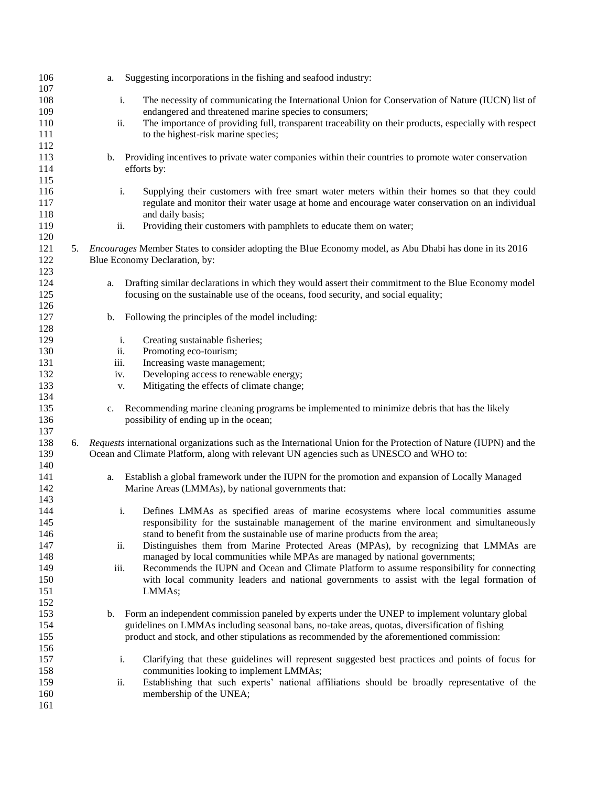|    | a.   | Suggesting incorporations in the fishing and seafood industry:                                                   |
|----|------|------------------------------------------------------------------------------------------------------------------|
|    |      | The necessity of communicating the International Union for Conservation of Nature (IUCN) list of                 |
|    |      | endangered and threatened marine species to consumers;                                                           |
|    |      | The importance of providing full, transparent traceability on their products, especially with respect            |
|    |      | to the highest-risk marine species;                                                                              |
|    |      |                                                                                                                  |
|    |      | Providing incentives to private water companies within their countries to promote water conservation             |
|    |      | efforts by:                                                                                                      |
|    |      |                                                                                                                  |
|    |      | Supplying their customers with free smart water meters within their homes so that they could                     |
|    |      | regulate and monitor their water usage at home and encourage water conservation on an individual                 |
|    |      | and daily basis;                                                                                                 |
|    |      | Providing their customers with pamphlets to educate them on water;                                               |
|    |      |                                                                                                                  |
|    |      | Encourages Member States to consider adopting the Blue Economy model, as Abu Dhabi has done in its 2016          |
|    |      | Blue Economy Declaration, by:                                                                                    |
|    |      |                                                                                                                  |
|    | a.   | Drafting similar declarations in which they would assert their commitment to the Blue Economy model              |
|    |      | focusing on the sustainable use of the oceans, food security, and social equality;                               |
|    |      |                                                                                                                  |
|    | b.   | Following the principles of the model including:                                                                 |
|    |      |                                                                                                                  |
|    | i.   | Creating sustainable fisheries;                                                                                  |
|    | ii.  | Promoting eco-tourism;                                                                                           |
|    | iii. | Increasing waste management;                                                                                     |
|    | iv.  | Developing access to renewable energy;                                                                           |
|    | V.   | Mitigating the effects of climate change;                                                                        |
|    |      |                                                                                                                  |
|    | c.   | Recommending marine cleaning programs be implemented to minimize debris that has the likely                      |
|    |      | possibility of ending up in the ocean;                                                                           |
|    |      |                                                                                                                  |
| 6. |      | Requests international organizations such as the International Union for the Protection of Nature (IUPN) and the |
|    |      | Ocean and Climate Platform, along with relevant UN agencies such as UNESCO and WHO to:                           |
|    |      |                                                                                                                  |
|    |      | Establish a global framework under the IUPN for the promotion and expansion of Locally Managed                   |
|    |      | Marine Areas (LMMAs), by national governments that:                                                              |
|    |      |                                                                                                                  |
|    |      | Defines LMMAs as specified areas of marine ecosystems where local communities assume<br>1.                       |
|    |      | responsibility for the sustainable management of the marine environment and simultaneously                       |
|    |      | stand to benefit from the sustainable use of marine products from the area;                                      |
|    |      | Distinguishes them from Marine Protected Areas (MPAs), by recognizing that LMMAs are                             |
|    |      | managed by local communities while MPAs are managed by national governments;                                     |
|    |      | Recommends the IUPN and Ocean and Climate Platform to assume responsibility for connecting                       |
|    |      | with local community leaders and national governments to assist with the legal formation of                      |
|    |      | LMMAs;                                                                                                           |
|    |      | Form an independent commission paneled by experts under the UNEP to implement voluntary global                   |
|    |      | guidelines on LMMAs including seasonal bans, no-take areas, quotas, diversification of fishing                   |
|    |      | product and stock, and other stipulations as recommended by the aforementioned commission:                       |
|    |      |                                                                                                                  |
|    |      | Clarifying that these guidelines will represent suggested best practices and points of focus for                 |
|    |      | communities looking to implement LMMAs;                                                                          |
|    |      | Establishing that such experts' national affiliations should be broadly representative of the                    |
|    |      | membership of the UNEA;                                                                                          |
|    |      |                                                                                                                  |
|    | 5.   | i.<br>ii.<br>b.<br>i.<br>ii.<br>a.<br>ii.<br>iii.<br>b.<br>i.<br>ii.                                             |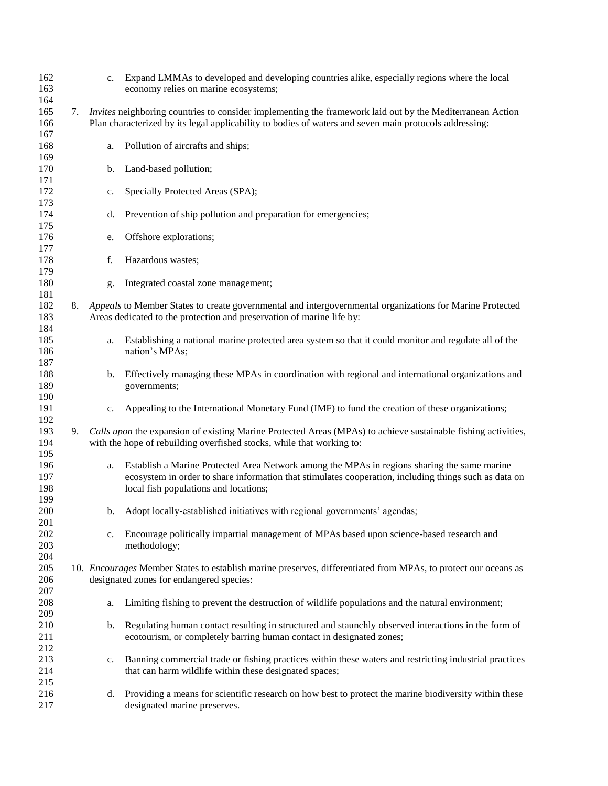| 162<br>163               |    |             | c. Expand LMMAs to developed and developing countries alike, especially regions where the local<br>economy relies on marine ecosystems;                                                                                                       |
|--------------------------|----|-------------|-----------------------------------------------------------------------------------------------------------------------------------------------------------------------------------------------------------------------------------------------|
| 164<br>165<br>166        | 7. |             | Invites neighboring countries to consider implementing the framework laid out by the Mediterranean Action<br>Plan characterized by its legal applicability to bodies of waters and seven main protocols addressing:                           |
| 167<br>168<br>169        |    | a.          | Pollution of aircrafts and ships;                                                                                                                                                                                                             |
| 170<br>171               |    | b.          | Land-based pollution;                                                                                                                                                                                                                         |
| 172<br>173               |    | c.          | Specially Protected Areas (SPA);                                                                                                                                                                                                              |
| 174<br>175               |    | d.          | Prevention of ship pollution and preparation for emergencies;                                                                                                                                                                                 |
| 176<br>177               |    | e.          | Offshore explorations;                                                                                                                                                                                                                        |
| 178<br>179               |    | f.          | Hazardous wastes;                                                                                                                                                                                                                             |
| 180<br>181               |    | g.          | Integrated coastal zone management;                                                                                                                                                                                                           |
| 182<br>183               | 8. |             | Appeals to Member States to create governmental and intergovernmental organizations for Marine Protected<br>Areas dedicated to the protection and preservation of marine life by:                                                             |
| 184<br>185<br>186<br>187 |    | a.          | Establishing a national marine protected area system so that it could monitor and regulate all of the<br>nation's MPAs;                                                                                                                       |
| 188<br>189<br>190        |    | b.          | Effectively managing these MPAs in coordination with regional and international organizations and<br>governments;                                                                                                                             |
| 191<br>192               |    | c.          | Appealing to the International Monetary Fund (IMF) to fund the creation of these organizations;                                                                                                                                               |
| 193<br>194<br>195        | 9. |             | Calls upon the expansion of existing Marine Protected Areas (MPAs) to achieve sustainable fishing activities,<br>with the hope of rebuilding overfished stocks, while that working to:                                                        |
| 196<br>197<br>198<br>199 |    | a.          | Establish a Marine Protected Area Network among the MPAs in regions sharing the same marine<br>ecosystem in order to share information that stimulates cooperation, including things such as data on<br>local fish populations and locations; |
| 200<br>201               |    | b.          | Adopt locally-established initiatives with regional governments' agendas;                                                                                                                                                                     |
| 202<br>203<br>204        |    | c.          | Encourage politically impartial management of MPAs based upon science-based research and<br>methodology;                                                                                                                                      |
| 205<br>206<br>207        |    |             | 10. Encourages Member States to establish marine preserves, differentiated from MPAs, to protect our oceans as<br>designated zones for endangered species:                                                                                    |
| 208<br>209               |    | a.          | Limiting fishing to prevent the destruction of wildlife populations and the natural environment;                                                                                                                                              |
| 210<br>211<br>212        |    | b.          | Regulating human contact resulting in structured and staunchly observed interactions in the form of<br>ecotourism, or completely barring human contact in designated zones;                                                                   |
| 213<br>214               |    | $c_{\cdot}$ | Banning commercial trade or fishing practices within these waters and restricting industrial practices<br>that can harm wildlife within these designated spaces;                                                                              |
| 215<br>216<br>217        |    | d.          | Providing a means for scientific research on how best to protect the marine biodiversity within these<br>designated marine preserves.                                                                                                         |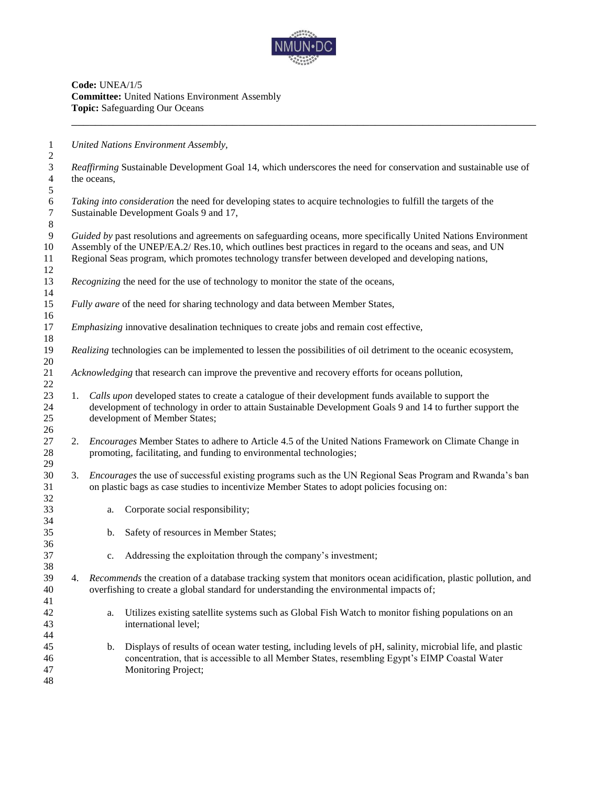

**Code:** UNEA/1/5 **Committee:** United Nations Environment Assembly **Topic:** Safeguarding Our Oceans

*United Nations Environment Assembly,*

 *Reaffirming* Sustainable Development Goal 14, which underscores the need for conservation and sustainable use of the oceans, *Taking into consideration* the need for developing states to acquire technologies to fulfill the targets of the Sustainable Development Goals 9 and 17, *Guided by* past resolutions and agreements on safeguarding oceans, more specifically United Nations Environment Assembly of the UNEP/EA.2/ Res.10, which outlines best practices in regard to the oceans and seas, and UN Regional Seas program, which promotes technology transfer between developed and developing nations, 13 Recognizing the need for the use of technology to monitor the state of the oceans, *Fully aware* of the need for sharing technology and data between Member States, *Emphasizing* innovative desalination techniques to create jobs and remain cost effective*, Realizing* technologies can be implemented to lessen the possibilities of oil detriment to the oceanic ecosystem, *Acknowledging* that research can improve the preventive and recovery efforts for oceans pollution, 1. *Calls upon* developed states to create a catalogue of their development funds available to support the development of technology in order to attain Sustainable Development Goals 9 and 14 to further support the development of Member States; 2. *Encourages* Member States to adhere to Article 4.5 of the United Nations Framework on Climate Change in promoting, facilitating, and funding to environmental technologies; 3. *Encourages* the use of successful existing programs such as the UN Regional Seas Program and Rwanda's ban on plastic bags as case studies to incentivize Member States to adopt policies focusing on: a. Corporate social responsibility; b. Safety of resources in Member States; c. Addressing the exploitation through the company's investment; 4. *Recommends* the creation of a database tracking system that monitors ocean acidification, plastic pollution, and overfishing to create a global standard for understanding the environmental impacts of; a. Utilizes existing satellite systems such as Global Fish Watch to monitor fishing populations on an international level; b. Displays of results of ocean water testing, including levels of pH, salinity, microbial life, and plastic concentration, that is accessible to all Member States, resembling Egypt's EIMP Coastal Water Monitoring Project;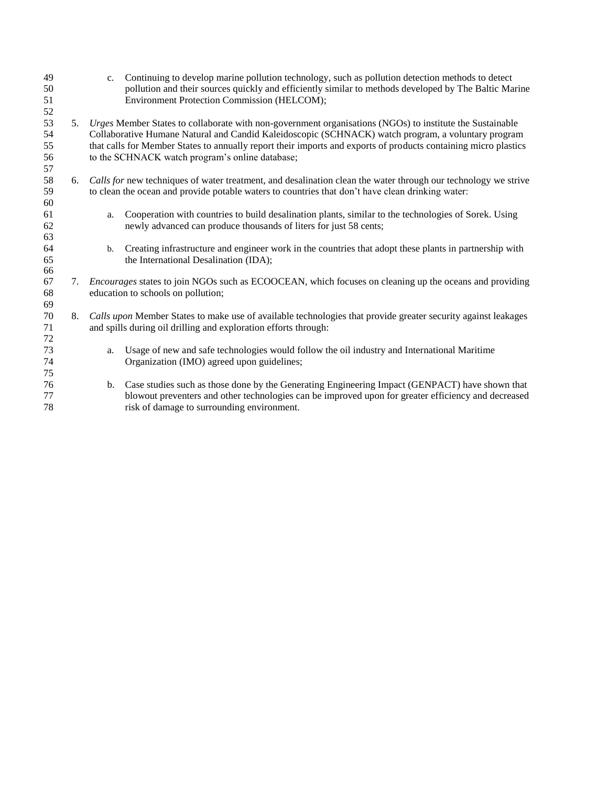| 49<br>50 |    | $c_{\cdot}$   | Continuing to develop marine pollution technology, such as pollution detection methods to detect<br>pollution and their sources quickly and efficiently similar to methods developed by The Baltic Marine |
|----------|----|---------------|-----------------------------------------------------------------------------------------------------------------------------------------------------------------------------------------------------------|
| 51       |    |               | Environment Protection Commission (HELCOM);                                                                                                                                                               |
| 52       |    |               |                                                                                                                                                                                                           |
| 53       |    |               | 5. Urges Member States to collaborate with non-government organisations (NGOs) to institute the Sustainable                                                                                               |
| 54       |    |               | Collaborative Humane Natural and Candid Kaleidoscopic (SCHNACK) watch program, a voluntary program                                                                                                        |
| 55       |    |               | that calls for Member States to annually report their imports and exports of products containing micro plastics                                                                                           |
| 56       |    |               | to the SCHNACK watch program's online database;                                                                                                                                                           |
| 57       |    |               |                                                                                                                                                                                                           |
| 58       | 6. |               | Calls for new techniques of water treatment, and desalination clean the water through our technology we strive                                                                                            |
| 59       |    |               | to clean the ocean and provide potable waters to countries that don't have clean drinking water:                                                                                                          |
| 60       |    |               |                                                                                                                                                                                                           |
| 61       |    | a.            | Cooperation with countries to build desalination plants, similar to the technologies of Sorek. Using                                                                                                      |
| 62       |    |               | newly advanced can produce thousands of liters for just 58 cents;                                                                                                                                         |
| 63       |    |               |                                                                                                                                                                                                           |
| 64       |    | b.            | Creating infrastructure and engineer work in the countries that adopt these plants in partnership with                                                                                                    |
| 65       |    |               | the International Desalination (IDA);                                                                                                                                                                     |
| 66       |    |               |                                                                                                                                                                                                           |
| 67       |    |               | 7. Encourages states to join NGOs such as ECOOCEAN, which focuses on cleaning up the oceans and providing                                                                                                 |
| 68       |    |               | education to schools on pollution;                                                                                                                                                                        |
| 69       |    |               |                                                                                                                                                                                                           |
| 70       | 8. |               | Calls upon Member States to make use of available technologies that provide greater security against leakages                                                                                             |
| 71       |    |               | and spills during oil drilling and exploration efforts through:                                                                                                                                           |
| 72       |    |               |                                                                                                                                                                                                           |
| 73       |    | a.            | Usage of new and safe technologies would follow the oil industry and International Maritime                                                                                                               |
| 74       |    |               | Organization (IMO) agreed upon guidelines;                                                                                                                                                                |
| 75       |    |               |                                                                                                                                                                                                           |
| 76       |    | $\mathbf b$ . | Case studies such as those done by the Generating Engineering Impact (GENPACT) have shown that                                                                                                            |
| 77       |    |               | blowout preventers and other technologies can be improved upon for greater efficiency and decreased                                                                                                       |
| 78       |    |               | risk of damage to surrounding environment.                                                                                                                                                                |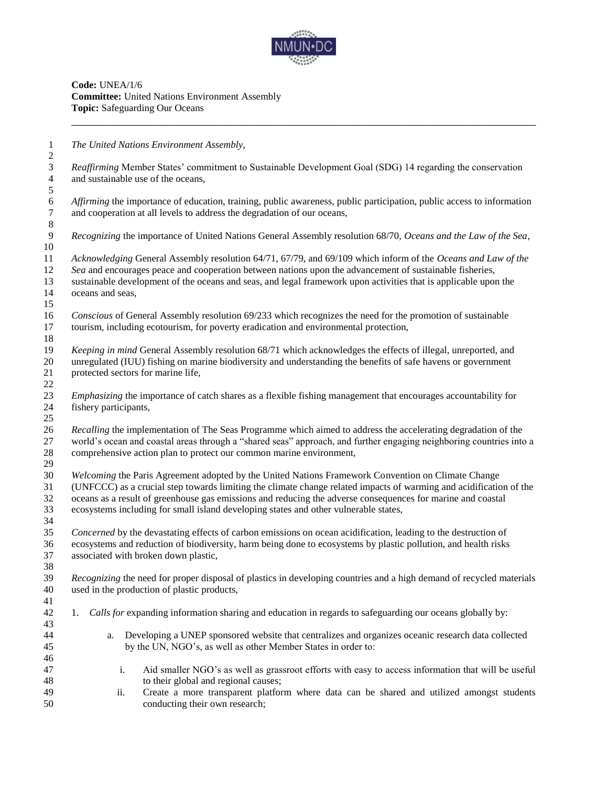

**Code:** UNEA/1/6 **Committee:** United Nations Environment Assembly **Topic:** Safeguarding Our Oceans

 *The United Nations Environment Assembly, Reaffirming* Member States' commitment to Sustainable Development Goal (SDG) 14 regarding the conservation and sustainable use of the oceans, *Affirming* the importance of education, training, public awareness, public participation, public access to information and cooperation at all levels to address the degradation of our oceans, *Recognizing* the importance of United Nations General Assembly resolution 68/70, *Oceans and the Law of the Sea*, *Acknowledging* General Assembly resolution 64/71, 67/79, and 69/109 which inform of the *Oceans and Law of the Sea* and encourages peace and cooperation between nations upon the advancement of sustainable fisheries, sustainable development of the oceans and seas, and legal framework upon activities that is applicable upon the oceans and seas, *Conscious* of General Assembly resolution 69/233 which recognizes the need for the promotion of sustainable tourism, including ecotourism, for poverty eradication and environmental protection, *Keeping in mind* General Assembly resolution 68/71 which acknowledges the effects of illegal, unreported, and unregulated (IUU) fishing on marine biodiversity and understanding the benefits of safe havens or government protected sectors for marine life, *Emphasizing* the importance of catch shares as a flexible fishing management that encourages accountability for fishery participants, *Recalling* the implementation of The Seas Programme which aimed to address the accelerating degradation of the world's ocean and coastal areas through a "shared seas" approach, and further engaging neighboring countries into a comprehensive action plan to protect our common marine environment, *Welcoming* the Paris Agreement adopted by the United Nations Framework Convention on Climate Change (UNFCCC) as a crucial step towards limiting the climate change related impacts of warming and acidification of the oceans as a result of greenhouse gas emissions and reducing the adverse consequences for marine and coastal ecosystems including for small island developing states and other vulnerable states, *Concerned* by the devastating effects of carbon emissions on ocean acidification, leading to the destruction of ecosystems and reduction of biodiversity, harm being done to ecosystems by plastic pollution, and health risks associated with broken down plastic, *Recognizing* the need for proper disposal of plastics in developing countries and a high demand of recycled materials used in the production of plastic products, 1. *Calls for* expanding information sharing and education in regards to safeguarding our oceans globally by: a. Developing a UNEP sponsored website that centralizes and organizes oceanic research data collected by the UN, NGO's, as well as other Member States in order to: i. Aid smaller NGO's as well as grassroot efforts with easy to access information that will be useful to their global and regional causes; ii. Create a more transparent platform where data can be shared and utilized amongst students conducting their own research;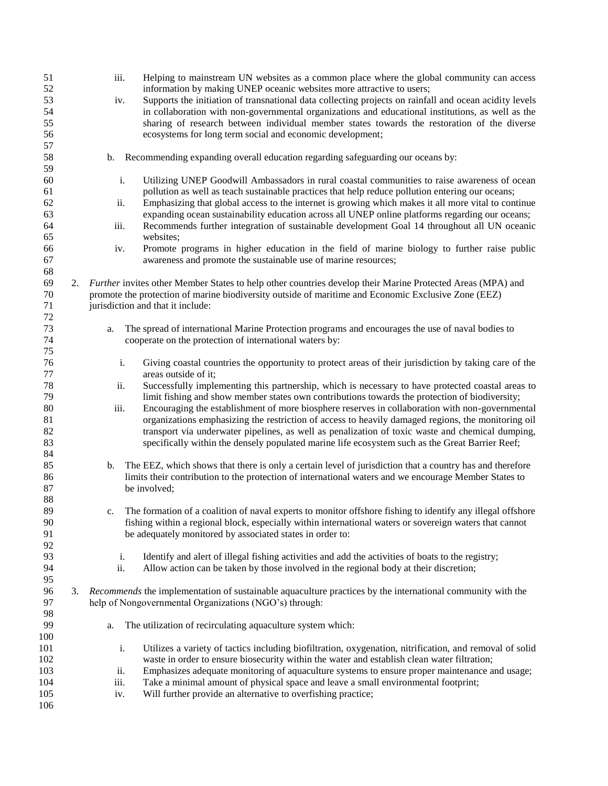| 51<br>52<br>53<br>54<br>55<br>56 |    | iii.<br>iv. | Helping to mainstream UN websites as a common place where the global community can access<br>information by making UNEP oceanic websites more attractive to users;<br>Supports the initiation of transnational data collecting projects on rainfall and ocean acidity levels<br>in collaboration with non-governmental organizations and educational institutions, as well as the<br>sharing of research between individual member states towards the restoration of the diverse<br>ecosystems for long term social and economic development; |
|----------------------------------|----|-------------|-----------------------------------------------------------------------------------------------------------------------------------------------------------------------------------------------------------------------------------------------------------------------------------------------------------------------------------------------------------------------------------------------------------------------------------------------------------------------------------------------------------------------------------------------|
| 57<br>58<br>59                   |    | b.          | Recommending expanding overall education regarding safeguarding our oceans by:                                                                                                                                                                                                                                                                                                                                                                                                                                                                |
| 60                               |    | i.          | Utilizing UNEP Goodwill Ambassadors in rural coastal communities to raise awareness of ocean                                                                                                                                                                                                                                                                                                                                                                                                                                                  |
| 61<br>62                         |    | ii.         | pollution as well as teach sustainable practices that help reduce pollution entering our oceans;<br>Emphasizing that global access to the internet is growing which makes it all more vital to continue                                                                                                                                                                                                                                                                                                                                       |
| 63<br>64                         |    | iii.        | expanding ocean sustainability education across all UNEP online platforms regarding our oceans;<br>Recommends further integration of sustainable development Goal 14 throughout all UN oceanic                                                                                                                                                                                                                                                                                                                                                |
| 65                               |    |             | websites;                                                                                                                                                                                                                                                                                                                                                                                                                                                                                                                                     |
| 66<br>67                         |    | iv.         | Promote programs in higher education in the field of marine biology to further raise public<br>awareness and promote the sustainable use of marine resources;                                                                                                                                                                                                                                                                                                                                                                                 |
| 68                               |    |             |                                                                                                                                                                                                                                                                                                                                                                                                                                                                                                                                               |
| 69                               |    |             | 2. Further invites other Member States to help other countries develop their Marine Protected Areas (MPA) and                                                                                                                                                                                                                                                                                                                                                                                                                                 |
| 70                               |    |             | promote the protection of marine biodiversity outside of maritime and Economic Exclusive Zone (EEZ)                                                                                                                                                                                                                                                                                                                                                                                                                                           |
| 71                               |    |             | jurisdiction and that it include:                                                                                                                                                                                                                                                                                                                                                                                                                                                                                                             |
| 72                               |    |             |                                                                                                                                                                                                                                                                                                                                                                                                                                                                                                                                               |
| 73                               |    | a.          | The spread of international Marine Protection programs and encourages the use of naval bodies to                                                                                                                                                                                                                                                                                                                                                                                                                                              |
| 74                               |    |             | cooperate on the protection of international waters by:                                                                                                                                                                                                                                                                                                                                                                                                                                                                                       |
| 75<br>76                         |    | i.          | Giving coastal countries the opportunity to protect areas of their jurisdiction by taking care of the                                                                                                                                                                                                                                                                                                                                                                                                                                         |
| 77                               |    |             | areas outside of it;                                                                                                                                                                                                                                                                                                                                                                                                                                                                                                                          |
| 78                               |    | ii.         | Successfully implementing this partnership, which is necessary to have protected coastal areas to                                                                                                                                                                                                                                                                                                                                                                                                                                             |
| 79                               |    |             | limit fishing and show member states own contributions towards the protection of biodiversity;                                                                                                                                                                                                                                                                                                                                                                                                                                                |
| $80\,$                           |    | iii.        | Encouraging the establishment of more biosphere reserves in collaboration with non-governmental                                                                                                                                                                                                                                                                                                                                                                                                                                               |
| 81                               |    |             | organizations emphasizing the restriction of access to heavily damaged regions, the monitoring oil                                                                                                                                                                                                                                                                                                                                                                                                                                            |
| 82                               |    |             | transport via underwater pipelines, as well as penalization of toxic waste and chemical dumping,                                                                                                                                                                                                                                                                                                                                                                                                                                              |
| 83                               |    |             | specifically within the densely populated marine life ecosystem such as the Great Barrier Reef;                                                                                                                                                                                                                                                                                                                                                                                                                                               |
| 84                               |    |             |                                                                                                                                                                                                                                                                                                                                                                                                                                                                                                                                               |
| 85                               |    | b.          | The EEZ, which shows that there is only a certain level of jurisdiction that a country has and therefore                                                                                                                                                                                                                                                                                                                                                                                                                                      |
| 86                               |    |             | limits their contribution to the protection of international waters and we encourage Member States to                                                                                                                                                                                                                                                                                                                                                                                                                                         |
| 87                               |    |             | be involved;                                                                                                                                                                                                                                                                                                                                                                                                                                                                                                                                  |
| 88                               |    |             |                                                                                                                                                                                                                                                                                                                                                                                                                                                                                                                                               |
| 89                               |    | c.          | The formation of a coalition of naval experts to monitor offshore fishing to identify any illegal offshore                                                                                                                                                                                                                                                                                                                                                                                                                                    |
| 90                               |    |             | fishing within a regional block, especially within international waters or sovereign waters that cannot                                                                                                                                                                                                                                                                                                                                                                                                                                       |
| 91                               |    |             | be adequately monitored by associated states in order to:                                                                                                                                                                                                                                                                                                                                                                                                                                                                                     |
| 92                               |    |             |                                                                                                                                                                                                                                                                                                                                                                                                                                                                                                                                               |
| 93                               |    | i.          | Identify and alert of illegal fishing activities and add the activities of boats to the registry;                                                                                                                                                                                                                                                                                                                                                                                                                                             |
| 94                               |    | ii.         | Allow action can be taken by those involved in the regional body at their discretion;                                                                                                                                                                                                                                                                                                                                                                                                                                                         |
| 95                               |    |             |                                                                                                                                                                                                                                                                                                                                                                                                                                                                                                                                               |
| 96<br>97                         | 3. |             | Recommends the implementation of sustainable aquaculture practices by the international community with the<br>help of Nongovernmental Organizations (NGO's) through:                                                                                                                                                                                                                                                                                                                                                                          |
| 98                               |    |             |                                                                                                                                                                                                                                                                                                                                                                                                                                                                                                                                               |
| 99                               |    | a.          | The utilization of recirculating aquaculture system which:                                                                                                                                                                                                                                                                                                                                                                                                                                                                                    |
| 100                              |    |             |                                                                                                                                                                                                                                                                                                                                                                                                                                                                                                                                               |
| 101                              |    | i.          | Utilizes a variety of tactics including biofiltration, oxygenation, nitrification, and removal of solid                                                                                                                                                                                                                                                                                                                                                                                                                                       |
| 102                              |    |             | waste in order to ensure biosecurity within the water and establish clean water filtration;                                                                                                                                                                                                                                                                                                                                                                                                                                                   |
| 103                              |    | ii.         | Emphasizes adequate monitoring of aquaculture systems to ensure proper maintenance and usage;                                                                                                                                                                                                                                                                                                                                                                                                                                                 |
| 104                              |    | iii.        | Take a minimal amount of physical space and leave a small environmental footprint;                                                                                                                                                                                                                                                                                                                                                                                                                                                            |
| 105                              |    | iv.         | Will further provide an alternative to overfishing practice;                                                                                                                                                                                                                                                                                                                                                                                                                                                                                  |
| 106                              |    |             |                                                                                                                                                                                                                                                                                                                                                                                                                                                                                                                                               |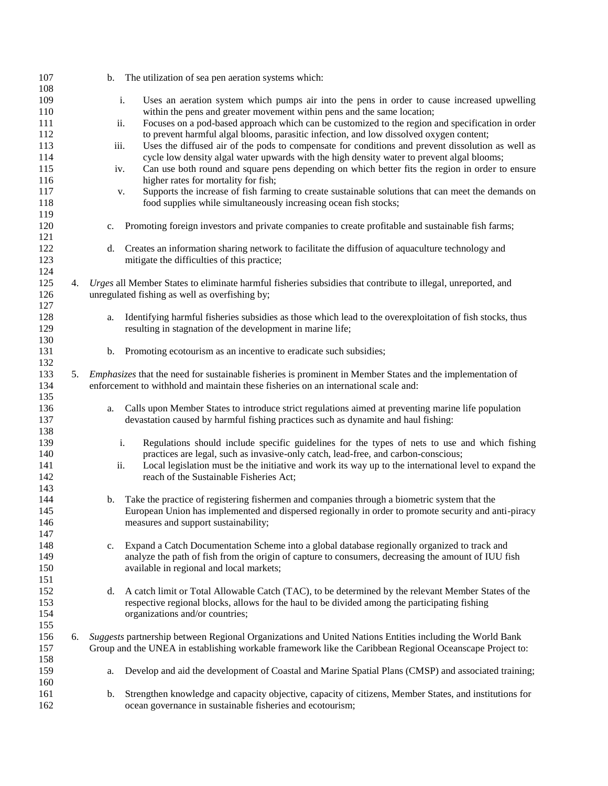| 107        |    |      | b. The utilization of sea pen aeration systems which:                                                        |
|------------|----|------|--------------------------------------------------------------------------------------------------------------|
| 108        |    |      |                                                                                                              |
| 109        |    | i.   | Uses an aeration system which pumps air into the pens in order to cause increased upwelling                  |
| 110        |    |      | within the pens and greater movement within pens and the same location;                                      |
| 111        |    | ii.  | Focuses on a pod-based approach which can be customized to the region and specification in order             |
| 112        |    |      | to prevent harmful algal blooms, parasitic infection, and low dissolved oxygen content;                      |
| 113        |    | iii. | Uses the diffused air of the pods to compensate for conditions and prevent dissolution as well as            |
| 114        |    |      | cycle low density algal water upwards with the high density water to prevent algal blooms;                   |
| 115        |    | iv.  | Can use both round and square pens depending on which better fits the region in order to ensure              |
| 116        |    |      | higher rates for mortality for fish;                                                                         |
| 117        |    | v.   | Supports the increase of fish farming to create sustainable solutions that can meet the demands on           |
| 118        |    |      | food supplies while simultaneously increasing ocean fish stocks;                                             |
| 119        |    |      |                                                                                                              |
| 120        |    | c.   | Promoting foreign investors and private companies to create profitable and sustainable fish farms;           |
| 121        |    |      |                                                                                                              |
| 122        |    |      |                                                                                                              |
|            |    | d.   | Creates an information sharing network to facilitate the diffusion of aquaculture technology and             |
| 123<br>124 |    |      | mitigate the difficulties of this practice;                                                                  |
|            |    |      |                                                                                                              |
| 125        | 4. |      | Urges all Member States to eliminate harmful fisheries subsidies that contribute to illegal, unreported, and |
| 126        |    |      | unregulated fishing as well as overfishing by;                                                               |
| 127        |    |      |                                                                                                              |
| 128        |    | a.   | Identifying harmful fisheries subsidies as those which lead to the overexploitation of fish stocks, thus     |
| 129        |    |      | resulting in stagnation of the development in marine life;                                                   |
| 130        |    |      |                                                                                                              |
| 131        |    | b.   | Promoting ecotourism as an incentive to eradicate such subsidies;                                            |
| 132        |    |      |                                                                                                              |
| 133        | 5. |      | Emphasizes that the need for sustainable fisheries is prominent in Member States and the implementation of   |
| 134        |    |      | enforcement to withhold and maintain these fisheries on an international scale and:                          |
| 135        |    |      |                                                                                                              |
| 136        |    | a.   | Calls upon Member States to introduce strict regulations aimed at preventing marine life population          |
| 137        |    |      | devastation caused by harmful fishing practices such as dynamite and haul fishing:                           |
| 138        |    |      |                                                                                                              |
| 139        |    | i.   | Regulations should include specific guidelines for the types of nets to use and which fishing                |
| 140        |    |      | practices are legal, such as invasive-only catch, lead-free, and carbon-conscious;                           |
| 141        |    | ii.  | Local legislation must be the initiative and work its way up to the international level to expand the        |
| 142        |    |      | reach of the Sustainable Fisheries Act;                                                                      |
| 143        |    |      |                                                                                                              |
| 144        |    | b.   | Take the practice of registering fishermen and companies through a biometric system that the                 |
| 145        |    |      | European Union has implemented and dispersed regionally in order to promote security and anti-piracy         |
| 146        |    |      | measures and support sustainability;                                                                         |
| 147        |    |      |                                                                                                              |
| 148        |    | c.   | Expand a Catch Documentation Scheme into a global database regionally organized to track and                 |
| 149        |    |      | analyze the path of fish from the origin of capture to consumers, decreasing the amount of IUU fish          |
| 150        |    |      | available in regional and local markets;                                                                     |
| 151        |    |      |                                                                                                              |
| 152        |    | d.   | A catch limit or Total Allowable Catch (TAC), to be determined by the relevant Member States of the          |
| 153        |    |      | respective regional blocks, allows for the haul to be divided among the participating fishing                |
| 154        |    |      | organizations and/or countries;                                                                              |
| 155        |    |      |                                                                                                              |
| 156        | 6. |      | Suggests partnership between Regional Organizations and United Nations Entities including the World Bank     |
| 157        |    |      | Group and the UNEA in establishing workable framework like the Caribbean Regional Oceanscape Project to:     |
| 158        |    |      |                                                                                                              |
| 159        |    | a.   | Develop and aid the development of Coastal and Marine Spatial Plans (CMSP) and associated training;          |
| 160        |    |      |                                                                                                              |
| 161        |    | b.   | Strengthen knowledge and capacity objective, capacity of citizens, Member States, and institutions for       |
| 162        |    |      | ocean governance in sustainable fisheries and ecotourism;                                                    |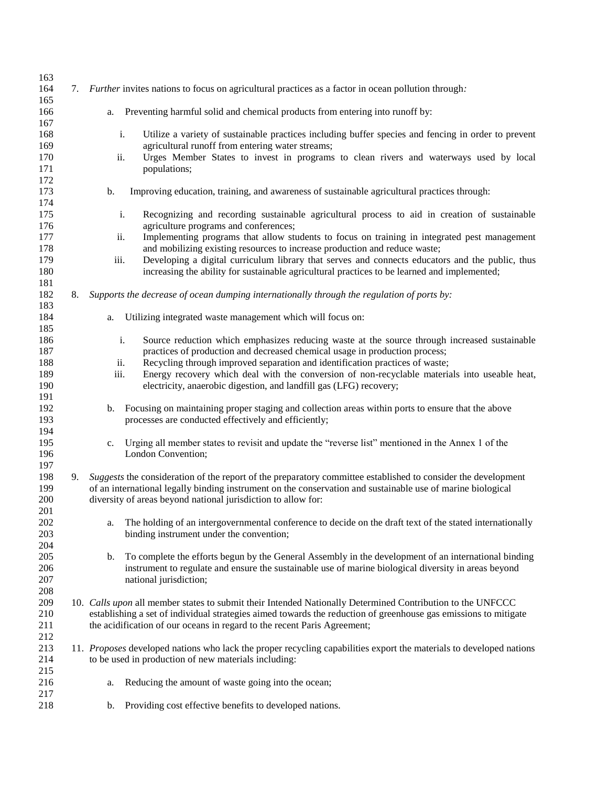| 163        |    |                                                                                                                                                                                                         |
|------------|----|---------------------------------------------------------------------------------------------------------------------------------------------------------------------------------------------------------|
| 164<br>165 | 7. | <i>Further</i> invites nations to focus on agricultural practices as a factor in ocean pollution through:                                                                                               |
| 166<br>167 |    | Preventing harmful solid and chemical products from entering into runoff by:<br>a.                                                                                                                      |
| 168<br>169 |    | Utilize a variety of sustainable practices including buffer species and fencing in order to prevent<br>i.<br>agricultural runoff from entering water streams;                                           |
| 170<br>171 |    | Urges Member States to invest in programs to clean rivers and waterways used by local<br>ii.<br>populations;                                                                                            |
| 172<br>173 |    | Improving education, training, and awareness of sustainable agricultural practices through:<br>b.                                                                                                       |
| 174        |    |                                                                                                                                                                                                         |
| 175<br>176 |    | i.<br>Recognizing and recording sustainable agricultural process to aid in creation of sustainable<br>agriculture programs and conferences;                                                             |
| 177        |    | Implementing programs that allow students to focus on training in integrated pest management<br>ii.                                                                                                     |
| 178        |    | and mobilizing existing resources to increase production and reduce waste;                                                                                                                              |
| 179<br>180 |    | Developing a digital curriculum library that serves and connects educators and the public, thus<br>iii.<br>increasing the ability for sustainable agricultural practices to be learned and implemented; |
| 181<br>182 | 8. | Supports the decrease of ocean dumping internationally through the regulation of ports by:                                                                                                              |
| 183<br>184 |    | Utilizing integrated waste management which will focus on:                                                                                                                                              |
| 185        |    | a.                                                                                                                                                                                                      |
| 186        |    | i.<br>Source reduction which emphasizes reducing waste at the source through increased sustainable                                                                                                      |
| 187        |    | practices of production and decreased chemical usage in production process;                                                                                                                             |
| 188        |    | Recycling through improved separation and identification practices of waste;<br>ii.                                                                                                                     |
| 189<br>190 |    | iii.<br>Energy recovery which deal with the conversion of non-recyclable materials into useable heat,<br>electricity, anaerobic digestion, and landfill gas (LFG) recovery;                             |
| 191        |    |                                                                                                                                                                                                         |
| 192        |    | Focusing on maintaining proper staging and collection areas within ports to ensure that the above<br>b.                                                                                                 |
| 193        |    | processes are conducted effectively and efficiently;                                                                                                                                                    |
| 194        |    |                                                                                                                                                                                                         |
| 195<br>196 |    | Urging all member states to revisit and update the "reverse list" mentioned in the Annex 1 of the<br>c.<br>London Convention;                                                                           |
| 197        |    |                                                                                                                                                                                                         |
| 198        | 9. | Suggests the consideration of the report of the preparatory committee established to consider the development                                                                                           |
| 199        |    | of an international legally binding instrument on the conservation and sustainable use of marine biological                                                                                             |
| 200<br>201 |    | diversity of areas beyond national jurisdiction to allow for:                                                                                                                                           |
| 202        |    | The holding of an intergovernmental conference to decide on the draft text of the stated internationally<br>a.                                                                                          |
| 203        |    | binding instrument under the convention;                                                                                                                                                                |
| 204        |    |                                                                                                                                                                                                         |
| 205        |    | To complete the efforts begun by the General Assembly in the development of an international binding<br>b.                                                                                              |
| 206<br>207 |    | instrument to regulate and ensure the sustainable use of marine biological diversity in areas beyond<br>national jurisdiction;                                                                          |
| 208        |    |                                                                                                                                                                                                         |
| 209        |    | 10. Calls upon all member states to submit their Intended Nationally Determined Contribution to the UNFCCC                                                                                              |
| 210        |    | establishing a set of individual strategies aimed towards the reduction of greenhouse gas emissions to mitigate                                                                                         |
| 211        |    | the acidification of our oceans in regard to the recent Paris Agreement;                                                                                                                                |
| 212        |    |                                                                                                                                                                                                         |
| 213        |    | 11. Proposes developed nations who lack the proper recycling capabilities export the materials to developed nations                                                                                     |
| 214        |    | to be used in production of new materials including:                                                                                                                                                    |
| 215        |    |                                                                                                                                                                                                         |
| 216<br>217 |    | Reducing the amount of waste going into the ocean;<br>a.                                                                                                                                                |
| 218        |    | Providing cost effective benefits to developed nations.<br>b.                                                                                                                                           |
|            |    |                                                                                                                                                                                                         |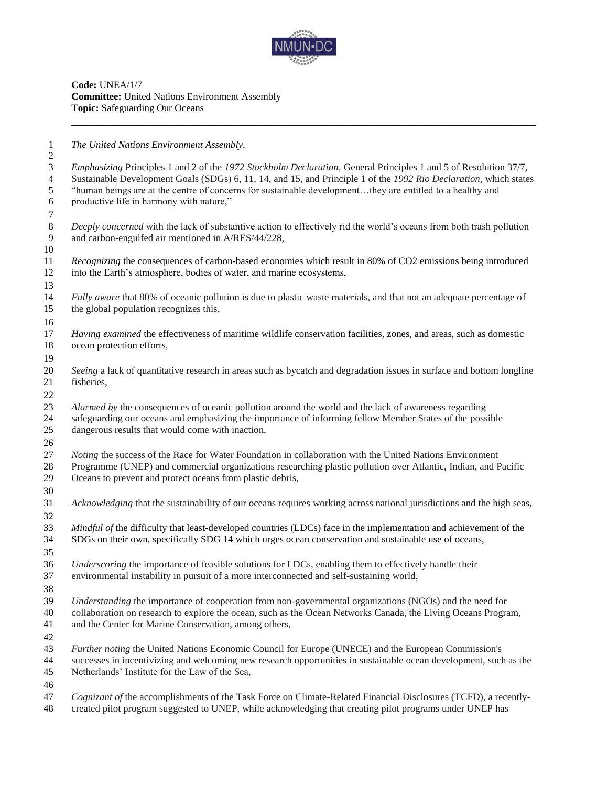

**Code:** UNEA/1/7 **Committee:** United Nations Environment Assembly **Topic:** Safeguarding Our Oceans

*The United Nations Environment Assembly,*

| $\overline{2}$                   |                                                                                                                                                                                                                                       |
|----------------------------------|---------------------------------------------------------------------------------------------------------------------------------------------------------------------------------------------------------------------------------------|
| $\mathfrak{Z}$<br>$\overline{4}$ | Emphasizing Principles 1 and 2 of the 1972 Stockholm Declaration, General Principles 1 and 5 of Resolution 37/7,<br>Sustainable Development Goals (SDGs) 6, 11, 14, and 15, and Principle 1 of the 1992 Rio Declaration, which states |
| 5<br>6                           | "human beings are at the centre of concerns for sustainable developmentthey are entitled to a healthy and<br>productive life in harmony with nature,"                                                                                 |
| 7                                |                                                                                                                                                                                                                                       |
| $\,8\,$                          | Deeply concerned with the lack of substantive action to effectively rid the world's oceans from both trash pollution                                                                                                                  |
| 9                                | and carbon-engulfed air mentioned in A/RES/44/228,                                                                                                                                                                                    |
| 10                               |                                                                                                                                                                                                                                       |
| 11                               | Recognizing the consequences of carbon-based economies which result in 80% of CO2 emissions being introduced                                                                                                                          |
| 12                               | into the Earth's atmosphere, bodies of water, and marine ecosystems,                                                                                                                                                                  |
| 13                               |                                                                                                                                                                                                                                       |
| 14                               | Fully aware that 80% of oceanic pollution is due to plastic waste materials, and that not an adequate percentage of                                                                                                                   |
| 15                               | the global population recognizes this,                                                                                                                                                                                                |
| 16                               |                                                                                                                                                                                                                                       |
| 17<br>18                         | Having examined the effectiveness of maritime wildlife conservation facilities, zones, and areas, such as domestic<br>ocean protection efforts,                                                                                       |
|                                  |                                                                                                                                                                                                                                       |
| 19<br>20                         | Seeing a lack of quantitative research in areas such as bycatch and degradation issues in surface and bottom longline                                                                                                                 |
| 21                               | fisheries,                                                                                                                                                                                                                            |
| 22                               |                                                                                                                                                                                                                                       |
| 23                               | Alarmed by the consequences of oceanic pollution around the world and the lack of awareness regarding                                                                                                                                 |
| 24                               | safeguarding our oceans and emphasizing the importance of informing fellow Member States of the possible                                                                                                                              |
| 25                               | dangerous results that would come with inaction,                                                                                                                                                                                      |
| 26                               |                                                                                                                                                                                                                                       |
| 27                               | <i>Noting</i> the success of the Race for Water Foundation in collaboration with the United Nations Environment                                                                                                                       |
| 28                               | Programme (UNEP) and commercial organizations researching plastic pollution over Atlantic, Indian, and Pacific                                                                                                                        |
| 29                               | Oceans to prevent and protect oceans from plastic debris,                                                                                                                                                                             |
| 30                               |                                                                                                                                                                                                                                       |
| 31                               | Acknowledging that the sustainability of our oceans requires working across national jurisdictions and the high seas,                                                                                                                 |
| 32                               |                                                                                                                                                                                                                                       |
| 33                               | Mindful of the difficulty that least-developed countries (LDCs) face in the implementation and achievement of the                                                                                                                     |
| 34                               | SDGs on their own, specifically SDG 14 which urges ocean conservation and sustainable use of oceans,                                                                                                                                  |
| 35                               |                                                                                                                                                                                                                                       |
| 36<br>37                         | Underscoring the importance of feasible solutions for LDCs, enabling them to effectively handle their<br>environmental instability in pursuit of a more interconnected and self-sustaining world,                                     |
| 38                               |                                                                                                                                                                                                                                       |
| 39                               | Understanding the importance of cooperation from non-governmental organizations (NGOs) and the need for                                                                                                                               |
| 40                               | collaboration on research to explore the ocean, such as the Ocean Networks Canada, the Living Oceans Program,                                                                                                                         |
| 41                               | and the Center for Marine Conservation, among others,                                                                                                                                                                                 |
| 42                               |                                                                                                                                                                                                                                       |
| 43                               | Further noting the United Nations Economic Council for Europe (UNECE) and the European Commission's                                                                                                                                   |
| 44                               | successes in incentivizing and welcoming new research opportunities in sustainable ocean development, such as the                                                                                                                     |
| 45                               | Netherlands' Institute for the Law of the Sea,                                                                                                                                                                                        |
| 46                               |                                                                                                                                                                                                                                       |
| 47<br>48                         | Cognizant of the accomplishments of the Task Force on Climate-Related Financial Disclosures (TCFD), a recently-<br>created pilot program suggested to UNEP, while acknowledging that creating pilot programs under UNEP has           |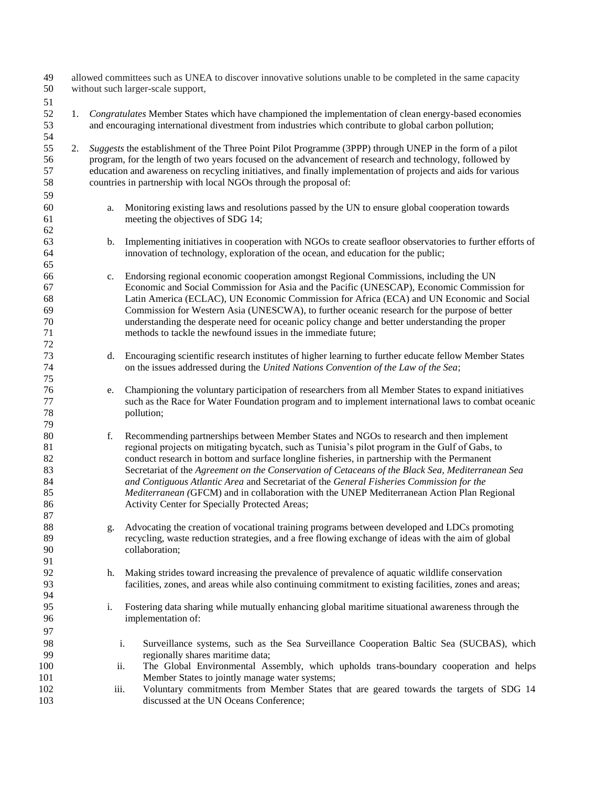| 49<br>50                                     | allowed committees such as UNEA to discover innovative solutions unable to be completed in the same capacity<br>without such larger-scale support, |                                                                                                                                                                                                               |                                                                                                                                                                                                                                                                                                                                                                                                                                                                                                                                                                                                                                              |  |  |  |
|----------------------------------------------|----------------------------------------------------------------------------------------------------------------------------------------------------|---------------------------------------------------------------------------------------------------------------------------------------------------------------------------------------------------------------|----------------------------------------------------------------------------------------------------------------------------------------------------------------------------------------------------------------------------------------------------------------------------------------------------------------------------------------------------------------------------------------------------------------------------------------------------------------------------------------------------------------------------------------------------------------------------------------------------------------------------------------------|--|--|--|
| 51                                           |                                                                                                                                                    |                                                                                                                                                                                                               |                                                                                                                                                                                                                                                                                                                                                                                                                                                                                                                                                                                                                                              |  |  |  |
| 52<br>53<br>54                               | 1.                                                                                                                                                 | Congratulates Member States which have championed the implementation of clean energy-based economies<br>and encouraging international divestment from industries which contribute to global carbon pollution; |                                                                                                                                                                                                                                                                                                                                                                                                                                                                                                                                                                                                                                              |  |  |  |
| 55<br>56<br>57<br>58<br>59                   | 2.                                                                                                                                                 |                                                                                                                                                                                                               | Suggests the establishment of the Three Point Pilot Programme (3PPP) through UNEP in the form of a pilot<br>program, for the length of two years focused on the advancement of research and technology, followed by<br>education and awareness on recycling initiatives, and finally implementation of projects and aids for various<br>countries in partnership with local NGOs through the proposal of:                                                                                                                                                                                                                                    |  |  |  |
| 60<br>61<br>62                               |                                                                                                                                                    | a.                                                                                                                                                                                                            | Monitoring existing laws and resolutions passed by the UN to ensure global cooperation towards<br>meeting the objectives of SDG 14;                                                                                                                                                                                                                                                                                                                                                                                                                                                                                                          |  |  |  |
| 63<br>64<br>65                               |                                                                                                                                                    | b.                                                                                                                                                                                                            | Implementing initiatives in cooperation with NGOs to create seafloor observatories to further efforts of<br>innovation of technology, exploration of the ocean, and education for the public;                                                                                                                                                                                                                                                                                                                                                                                                                                                |  |  |  |
| 66<br>67<br>68<br>69<br>70<br>71<br>72       |                                                                                                                                                    | c.                                                                                                                                                                                                            | Endorsing regional economic cooperation amongst Regional Commissions, including the UN<br>Economic and Social Commission for Asia and the Pacific (UNESCAP), Economic Commission for<br>Latin America (ECLAC), UN Economic Commission for Africa (ECA) and UN Economic and Social<br>Commission for Western Asia (UNESCWA), to further oceanic research for the purpose of better<br>understanding the desperate need for oceanic policy change and better understanding the proper<br>methods to tackle the newfound issues in the immediate future;                                                                                        |  |  |  |
| 73<br>74<br>75                               |                                                                                                                                                    | d.                                                                                                                                                                                                            | Encouraging scientific research institutes of higher learning to further educate fellow Member States<br>on the issues addressed during the United Nations Convention of the Law of the Sea;                                                                                                                                                                                                                                                                                                                                                                                                                                                 |  |  |  |
| 76<br>77<br>78<br>79                         |                                                                                                                                                    | e.                                                                                                                                                                                                            | Championing the voluntary participation of researchers from all Member States to expand initiatives<br>such as the Race for Water Foundation program and to implement international laws to combat oceanic<br>pollution;                                                                                                                                                                                                                                                                                                                                                                                                                     |  |  |  |
| 80<br>81<br>82<br>83<br>84<br>85<br>86<br>87 |                                                                                                                                                    | f.                                                                                                                                                                                                            | Recommending partnerships between Member States and NGOs to research and then implement<br>regional projects on mitigating bycatch, such as Tunisia's pilot program in the Gulf of Gabs, to<br>conduct research in bottom and surface longline fisheries, in partnership with the Permanent<br>Secretariat of the Agreement on the Conservation of Cetaceans of the Black Sea, Mediterranean Sea<br>and Contiguous Atlantic Area and Secretariat of the General Fisheries Commission for the<br>Mediterranean (GFCM) and in collaboration with the UNEP Mediterranean Action Plan Regional<br>Activity Center for Specially Protected Areas; |  |  |  |
| 88<br>89<br>90<br>91                         |                                                                                                                                                    | g.                                                                                                                                                                                                            | Advocating the creation of vocational training programs between developed and LDCs promoting<br>recycling, waste reduction strategies, and a free flowing exchange of ideas with the aim of global<br>collaboration;                                                                                                                                                                                                                                                                                                                                                                                                                         |  |  |  |
| 92<br>93<br>94                               |                                                                                                                                                    | h.                                                                                                                                                                                                            | Making strides toward increasing the prevalence of prevalence of aquatic wildlife conservation<br>facilities, zones, and areas while also continuing commitment to existing facilities, zones and areas;                                                                                                                                                                                                                                                                                                                                                                                                                                     |  |  |  |
| 95<br>96<br>97                               |                                                                                                                                                    | $\mathbf{i}$ .                                                                                                                                                                                                | Fostering data sharing while mutually enhancing global maritime situational awareness through the<br>implementation of:                                                                                                                                                                                                                                                                                                                                                                                                                                                                                                                      |  |  |  |
| 98<br>99                                     |                                                                                                                                                    |                                                                                                                                                                                                               | i.<br>Surveillance systems, such as the Sea Surveillance Cooperation Baltic Sea (SUCBAS), which<br>regionally shares maritime data;                                                                                                                                                                                                                                                                                                                                                                                                                                                                                                          |  |  |  |
| 100<br>101<br>102<br>103                     |                                                                                                                                                    | ii.<br>iii.                                                                                                                                                                                                   | The Global Environmental Assembly, which upholds trans-boundary cooperation and helps<br>Member States to jointly manage water systems;<br>Voluntary commitments from Member States that are geared towards the targets of SDG 14<br>discussed at the UN Oceans Conference;                                                                                                                                                                                                                                                                                                                                                                  |  |  |  |